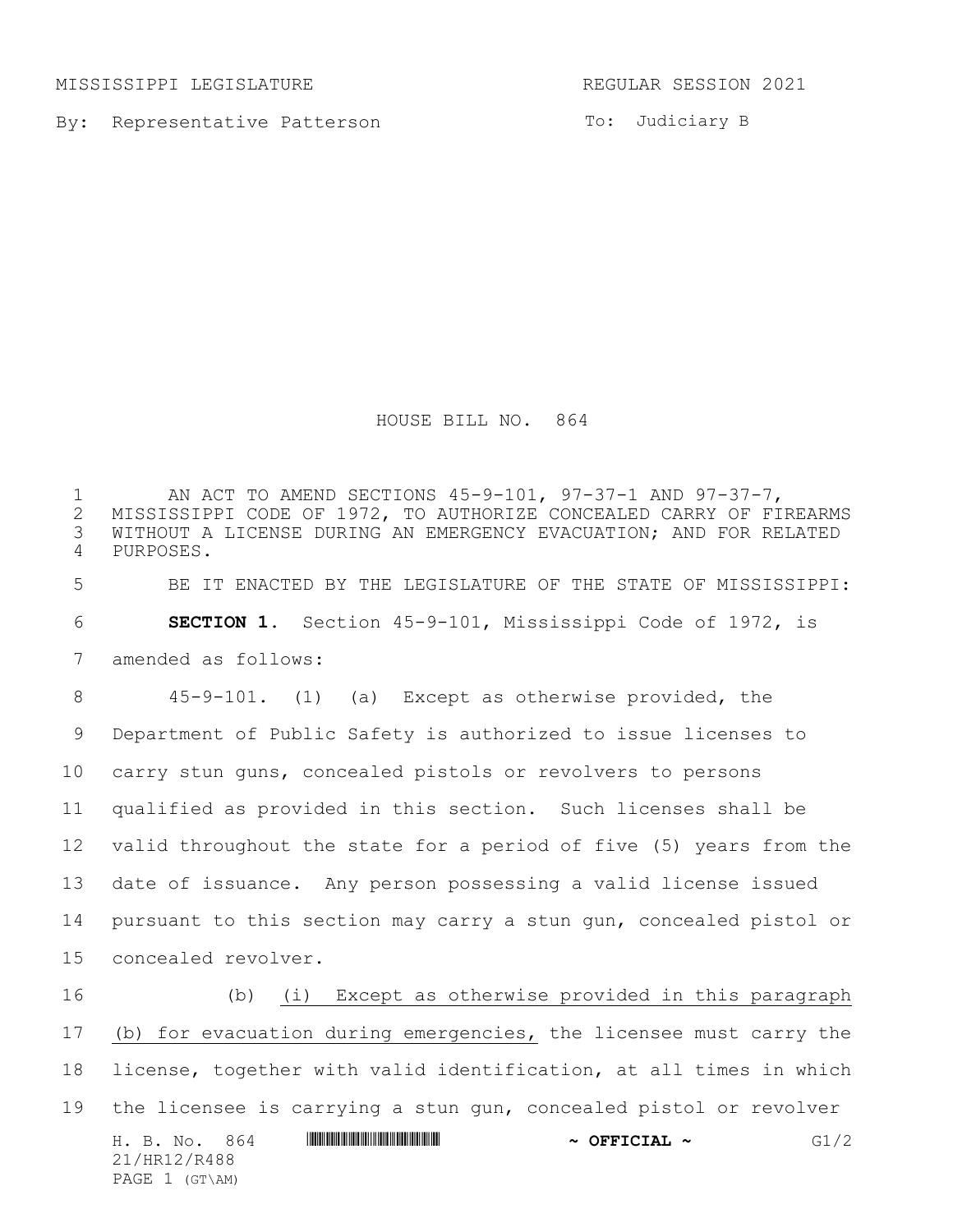MISSISSIPPI LEGISLATURE REGULAR SESSION 2021

PAGE 1 (GT\AM)

By: Representative Patterson

To: Judiciary B

HOUSE BILL NO. 864

1 MI ACT TO AMEND SECTIONS 45-9-101, 97-37-1 AND 97-37-7,<br>2 MISSISSIPPI CODE OF 1972, TO AUTHORIZE CONCEALED CARRY OF FI 2 MISSISSIPPI CODE OF 1972, TO AUTHORIZE CONCEALED CARRY OF FIREARMS<br>3 WITHOUT A LICENSE DURING AN EMERGENCY EVACUATION; AND FOR RELATED WITHOUT A LICENSE DURING AN EMERGENCY EVACUATION; AND FOR RELATED PURPOSES. BE IT ENACTED BY THE LEGISLATURE OF THE STATE OF MISSISSIPPI: **SECTION 1.** Section 45-9-101, Mississippi Code of 1972, is amended as follows: 45-9-101. (1) (a) Except as otherwise provided, the Department of Public Safety is authorized to issue licenses to carry stun guns, concealed pistols or revolvers to persons qualified as provided in this section. Such licenses shall be valid throughout the state for a period of five (5) years from the date of issuance. Any person possessing a valid license issued pursuant to this section may carry a stun gun, concealed pistol or concealed revolver. (b) (i) Except as otherwise provided in this paragraph (b) for evacuation during emergencies, the licensee must carry the

H. B. No. 864 **HRININIA RANDER AND A SEFICIAL ~** G1/2 21/HR12/R488 license, together with valid identification, at all times in which the licensee is carrying a stun gun, concealed pistol or revolver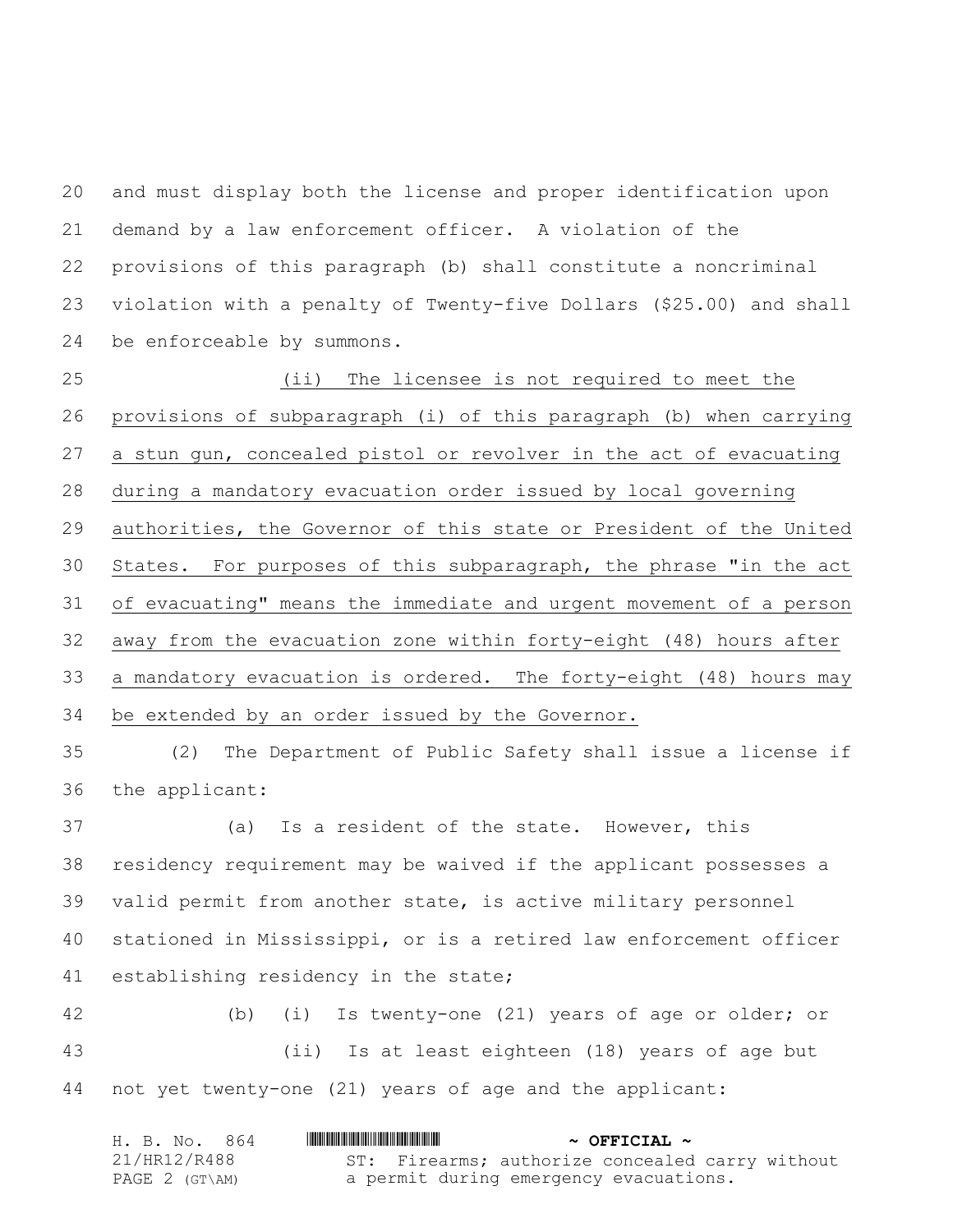and must display both the license and proper identification upon demand by a law enforcement officer. A violation of the provisions of this paragraph (b) shall constitute a noncriminal violation with a penalty of Twenty-five Dollars (\$25.00) and shall be enforceable by summons.

 (ii) The licensee is not required to meet the provisions of subparagraph (i) of this paragraph (b) when carrying a stun gun, concealed pistol or revolver in the act of evacuating during a mandatory evacuation order issued by local governing authorities, the Governor of this state or President of the United States. For purposes of this subparagraph, the phrase "in the act of evacuating" means the immediate and urgent movement of a person away from the evacuation zone within forty-eight (48) hours after a mandatory evacuation is ordered. The forty-eight (48) hours may be extended by an order issued by the Governor.

 (2) The Department of Public Safety shall issue a license if the applicant:

 (a) Is a resident of the state. However, this residency requirement may be waived if the applicant possesses a valid permit from another state, is active military personnel stationed in Mississippi, or is a retired law enforcement officer establishing residency in the state;

 (b) (i) Is twenty-one (21) years of age or older; or (ii) Is at least eighteen (18) years of age but not yet twenty-one (21) years of age and the applicant:

| H. B. No. 864  | $\sim$ OFFICIAL $\sim$                          |
|----------------|-------------------------------------------------|
| 21/HR12/R488   | ST: Firearms; authorize concealed carry without |
| PAGE 2 (GT\AM) | a permit during emergency evacuations.          |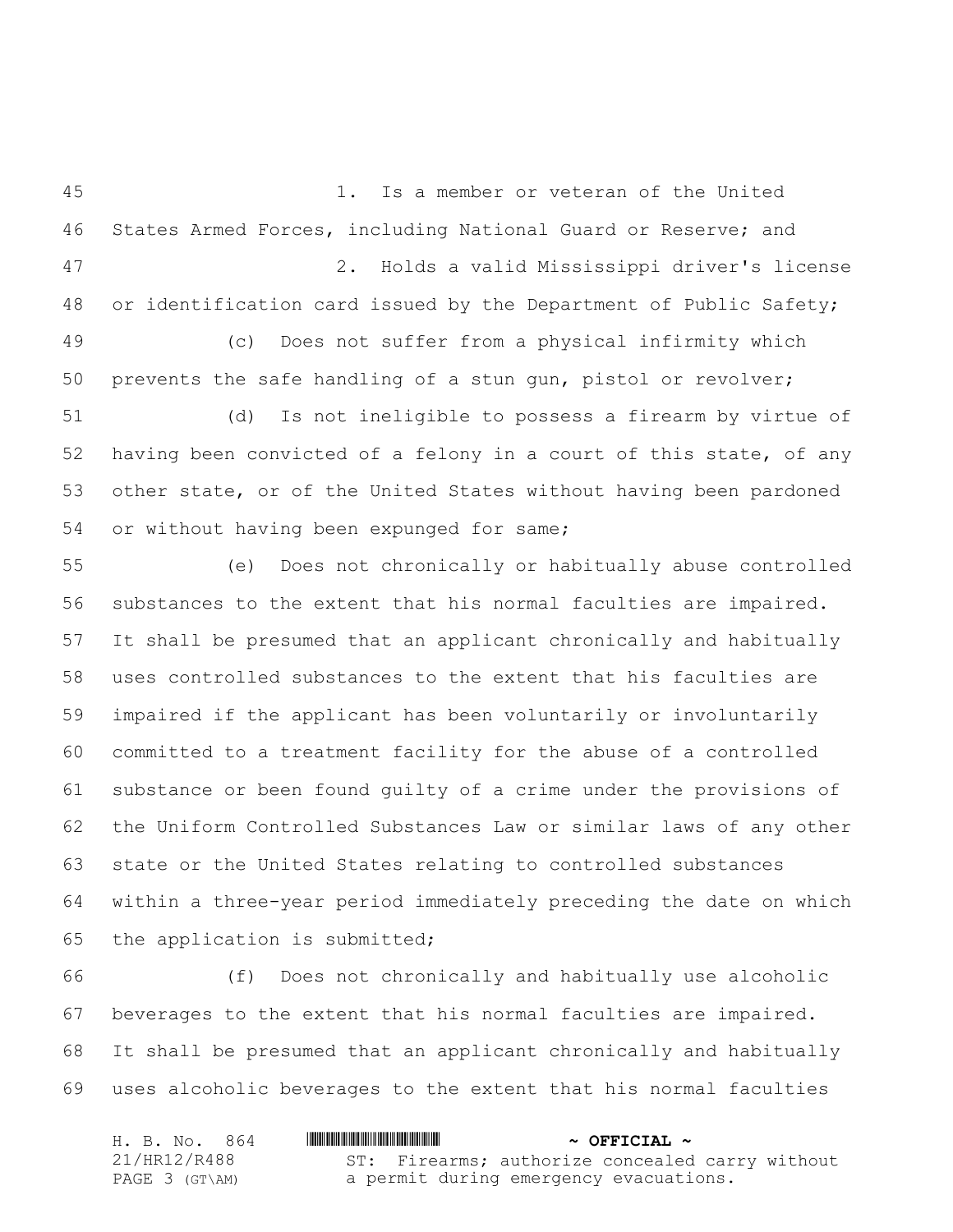1. Is a member or veteran of the United States Armed Forces, including National Guard or Reserve; and 2. Holds a valid Mississippi driver's license or identification card issued by the Department of Public Safety; (c) Does not suffer from a physical infirmity which prevents the safe handling of a stun gun, pistol or revolver;

 (d) Is not ineligible to possess a firearm by virtue of having been convicted of a felony in a court of this state, of any other state, or of the United States without having been pardoned or without having been expunged for same;

 (e) Does not chronically or habitually abuse controlled substances to the extent that his normal faculties are impaired. It shall be presumed that an applicant chronically and habitually uses controlled substances to the extent that his faculties are impaired if the applicant has been voluntarily or involuntarily committed to a treatment facility for the abuse of a controlled substance or been found guilty of a crime under the provisions of the Uniform Controlled Substances Law or similar laws of any other state or the United States relating to controlled substances within a three-year period immediately preceding the date on which the application is submitted;

 (f) Does not chronically and habitually use alcoholic beverages to the extent that his normal faculties are impaired. It shall be presumed that an applicant chronically and habitually uses alcoholic beverages to the extent that his normal faculties

| H. B. No. 864  | $\sim$ OFFICIAL $\sim$                          |
|----------------|-------------------------------------------------|
| 21/HR12/R488   | ST: Firearms; authorize concealed carry without |
| PAGE 3 (GT\AM) | a permit during emergency evacuations.          |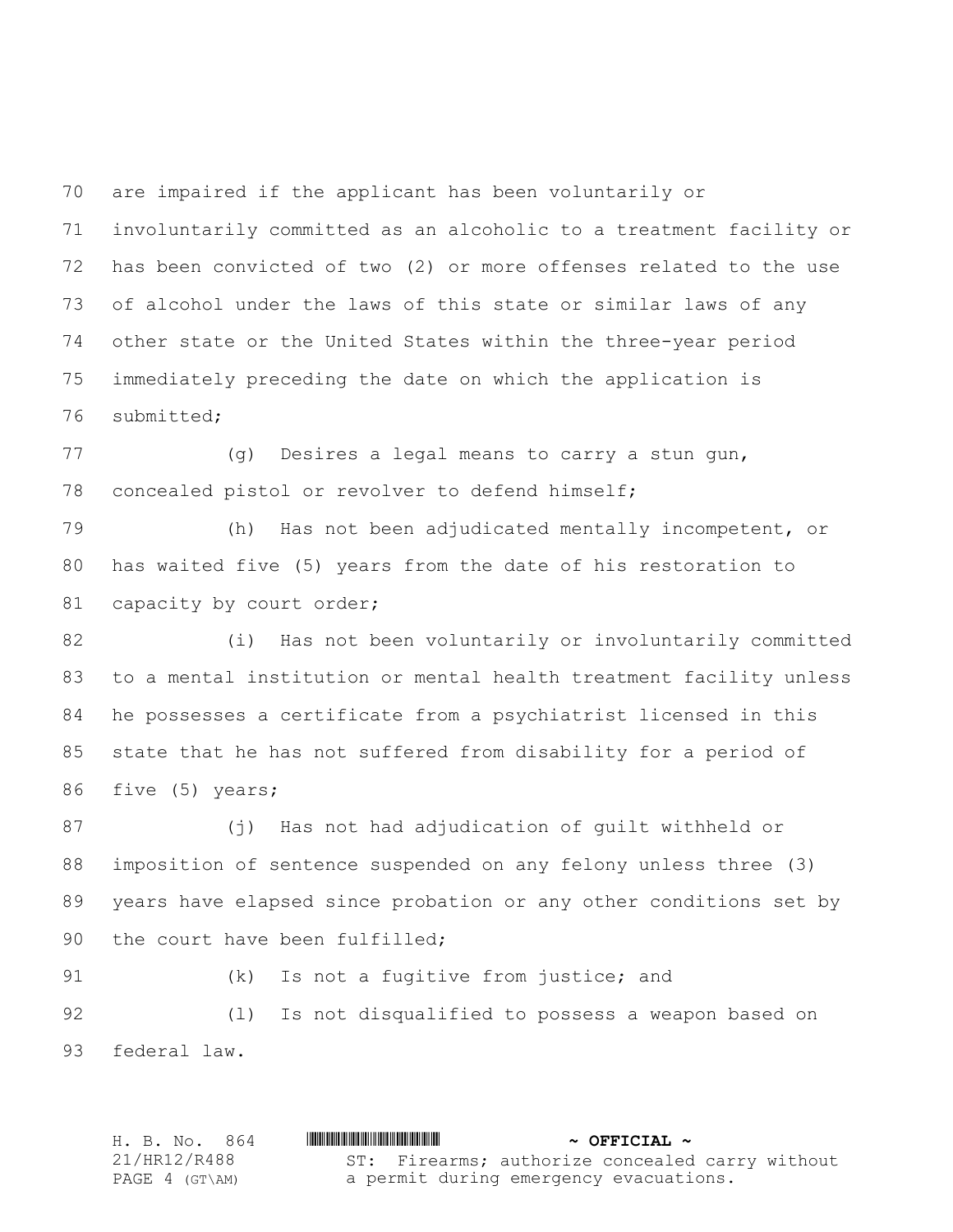are impaired if the applicant has been voluntarily or

 involuntarily committed as an alcoholic to a treatment facility or has been convicted of two (2) or more offenses related to the use of alcohol under the laws of this state or similar laws of any other state or the United States within the three-year period immediately preceding the date on which the application is submitted;

 (g) Desires a legal means to carry a stun gun, concealed pistol or revolver to defend himself;

 (h) Has not been adjudicated mentally incompetent, or has waited five (5) years from the date of his restoration to 81 capacity by court order;

 (i) Has not been voluntarily or involuntarily committed to a mental institution or mental health treatment facility unless he possesses a certificate from a psychiatrist licensed in this state that he has not suffered from disability for a period of five (5) years;

 (j) Has not had adjudication of guilt withheld or imposition of sentence suspended on any felony unless three (3) years have elapsed since probation or any other conditions set by 90 the court have been fulfilled;

(k) Is not a fugitive from justice; and

 (l) Is not disqualified to possess a weapon based on federal law.

H. B. No. 864 \*HR12/R488\* **~ OFFICIAL ~** 21/HR12/R488 PAGE 4 (GT\AM) ST: Firearms; authorize concealed carry without a permit during emergency evacuations.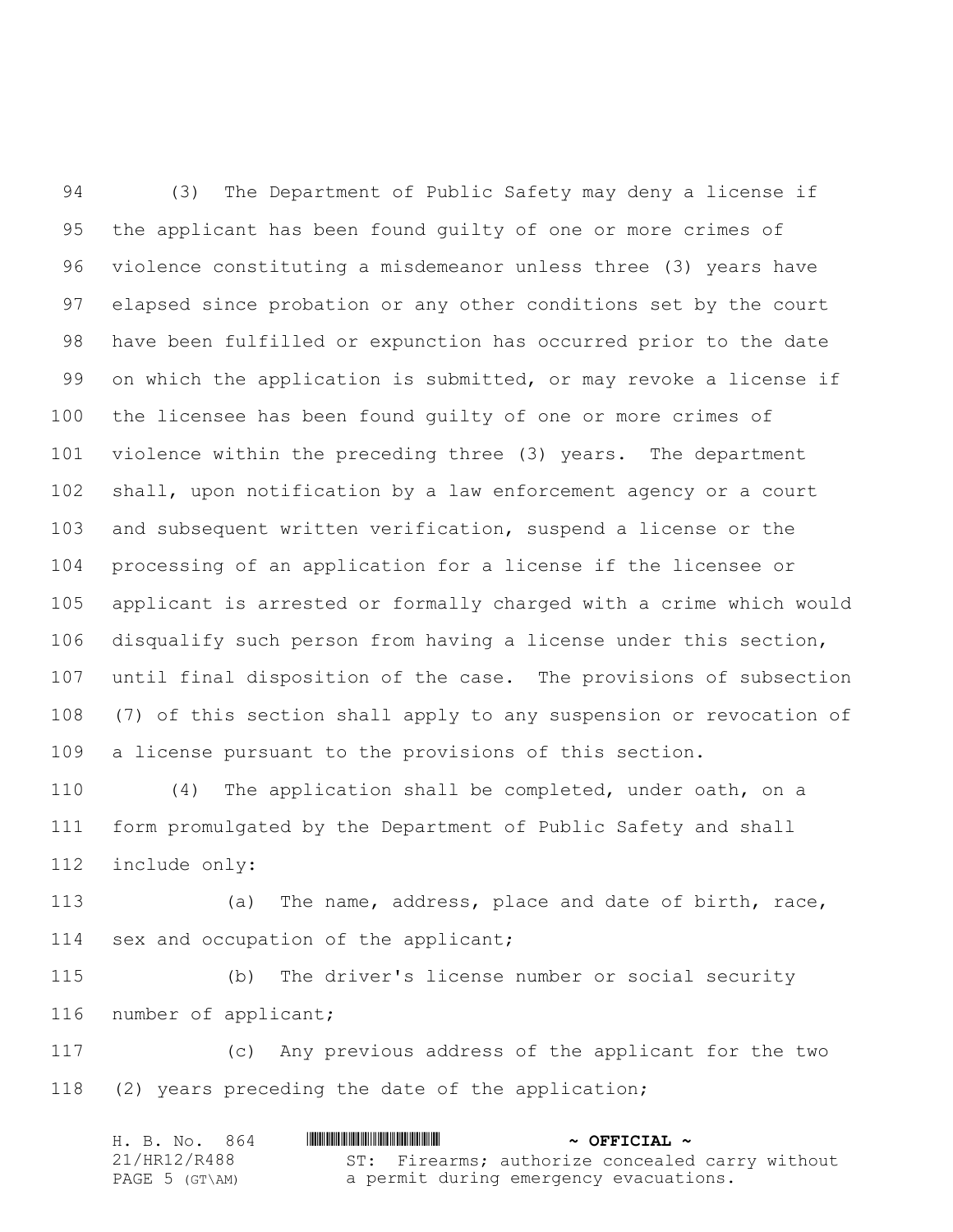(3) The Department of Public Safety may deny a license if the applicant has been found guilty of one or more crimes of violence constituting a misdemeanor unless three (3) years have elapsed since probation or any other conditions set by the court have been fulfilled or expunction has occurred prior to the date 99 on which the application is submitted, or may revoke a license if the licensee has been found guilty of one or more crimes of violence within the preceding three (3) years. The department shall, upon notification by a law enforcement agency or a court and subsequent written verification, suspend a license or the processing of an application for a license if the licensee or applicant is arrested or formally charged with a crime which would disqualify such person from having a license under this section, until final disposition of the case. The provisions of subsection (7) of this section shall apply to any suspension or revocation of a license pursuant to the provisions of this section.

 (4) The application shall be completed, under oath, on a form promulgated by the Department of Public Safety and shall include only:

 (a) The name, address, place and date of birth, race, sex and occupation of the applicant;

 (b) The driver's license number or social security number of applicant;

 (c) Any previous address of the applicant for the two (2) years preceding the date of the application;

| H. B. No. 864  | $\sim$ OFFICIAL $\sim$                          |
|----------------|-------------------------------------------------|
| 21/HR12/R488   | ST: Firearms; authorize concealed carry without |
| PAGE 5 (GT\AM) | a permit during emergency evacuations.          |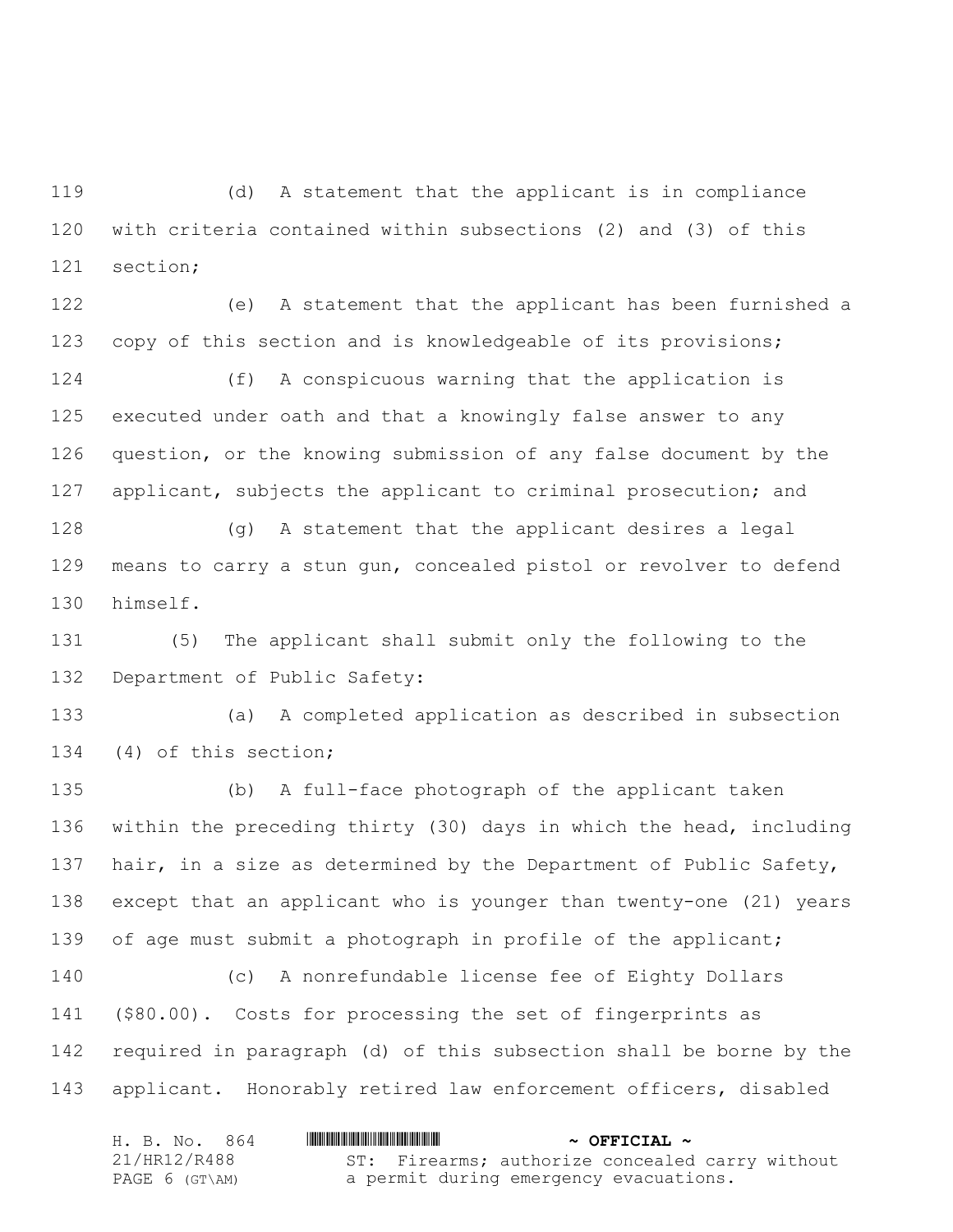(d) A statement that the applicant is in compliance with criteria contained within subsections (2) and (3) of this section;

 (e) A statement that the applicant has been furnished a copy of this section and is knowledgeable of its provisions;

 (f) A conspicuous warning that the application is executed under oath and that a knowingly false answer to any question, or the knowing submission of any false document by the applicant, subjects the applicant to criminal prosecution; and

 (g) A statement that the applicant desires a legal means to carry a stun gun, concealed pistol or revolver to defend himself.

 (5) The applicant shall submit only the following to the Department of Public Safety:

 (a) A completed application as described in subsection (4) of this section;

 (b) A full-face photograph of the applicant taken within the preceding thirty (30) days in which the head, including 137 hair, in a size as determined by the Department of Public Safety, except that an applicant who is younger than twenty-one (21) years of age must submit a photograph in profile of the applicant; (c) A nonrefundable license fee of Eighty Dollars (\$80.00). Costs for processing the set of fingerprints as required in paragraph (d) of this subsection shall be borne by the

applicant. Honorably retired law enforcement officers, disabled

| H. B. No. 864  | $\sim$ OFFICIAL $\sim$                          |
|----------------|-------------------------------------------------|
| 21/HR12/R488   | ST: Firearms; authorize concealed carry without |
| PAGE 6 (GT\AM) | a permit during emergency evacuations.          |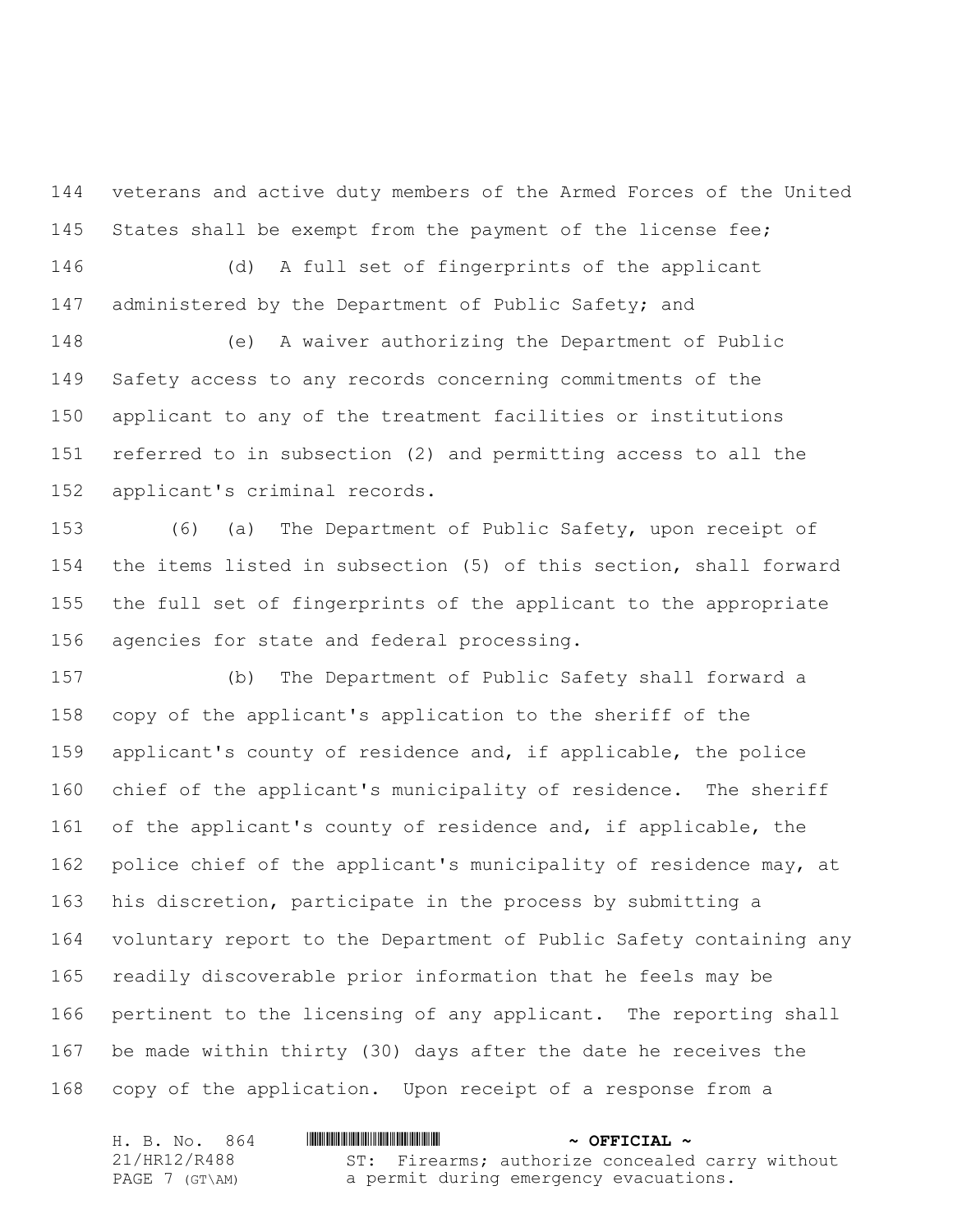veterans and active duty members of the Armed Forces of the United 145 States shall be exempt from the payment of the license fee;

 (d) A full set of fingerprints of the applicant 147 administered by the Department of Public Safety; and

 (e) A waiver authorizing the Department of Public Safety access to any records concerning commitments of the applicant to any of the treatment facilities or institutions referred to in subsection (2) and permitting access to all the applicant's criminal records.

 (6) (a) The Department of Public Safety, upon receipt of the items listed in subsection (5) of this section, shall forward the full set of fingerprints of the applicant to the appropriate agencies for state and federal processing.

 (b) The Department of Public Safety shall forward a copy of the applicant's application to the sheriff of the applicant's county of residence and, if applicable, the police chief of the applicant's municipality of residence. The sheriff of the applicant's county of residence and, if applicable, the 162 police chief of the applicant's municipality of residence may, at his discretion, participate in the process by submitting a voluntary report to the Department of Public Safety containing any readily discoverable prior information that he feels may be pertinent to the licensing of any applicant. The reporting shall be made within thirty (30) days after the date he receives the copy of the application. Upon receipt of a response from a

| H. B. No. 864  | $\sim$ OFFICIAL $\sim$                          |
|----------------|-------------------------------------------------|
| 21/HR12/R488   | ST: Firearms; authorize concealed carry without |
| PAGE 7 (GT\AM) | a permit during emergency evacuations.          |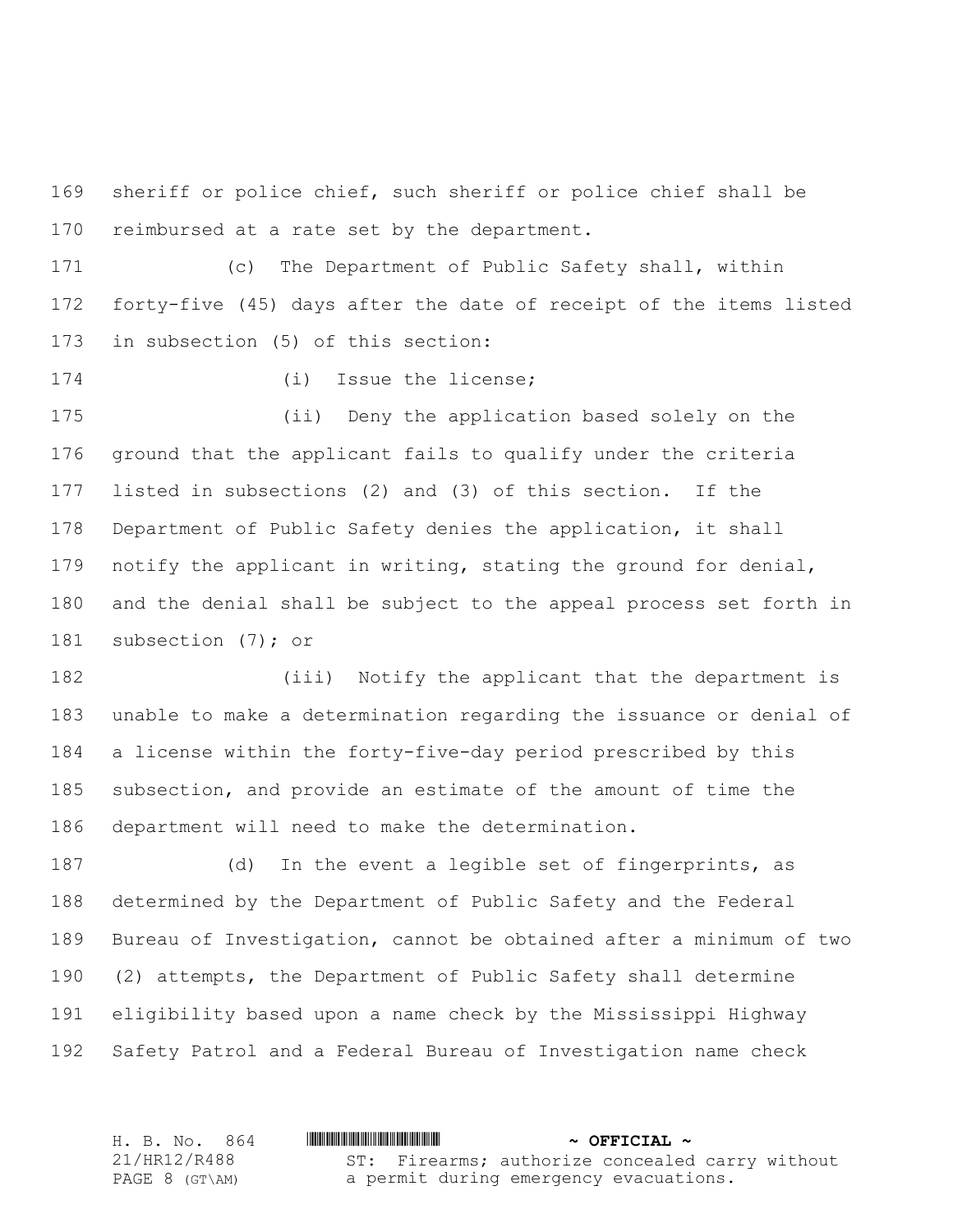sheriff or police chief, such sheriff or police chief shall be reimbursed at a rate set by the department.

 (c) The Department of Public Safety shall, within forty-five (45) days after the date of receipt of the items listed in subsection (5) of this section:

(i) Issue the license;

 (ii) Deny the application based solely on the ground that the applicant fails to qualify under the criteria listed in subsections (2) and (3) of this section. If the Department of Public Safety denies the application, it shall 179 notify the applicant in writing, stating the ground for denial, and the denial shall be subject to the appeal process set forth in 181 subsection (7); or

 (iii) Notify the applicant that the department is unable to make a determination regarding the issuance or denial of a license within the forty-five-day period prescribed by this subsection, and provide an estimate of the amount of time the department will need to make the determination.

 (d) In the event a legible set of fingerprints, as determined by the Department of Public Safety and the Federal Bureau of Investigation, cannot be obtained after a minimum of two (2) attempts, the Department of Public Safety shall determine eligibility based upon a name check by the Mississippi Highway Safety Patrol and a Federal Bureau of Investigation name check

H. B. No. 864 \*HR12/R488\* **~ OFFICIAL ~** 21/HR12/R488 PAGE 8 (GT\AM) ST: Firearms; authorize concealed carry without a permit during emergency evacuations.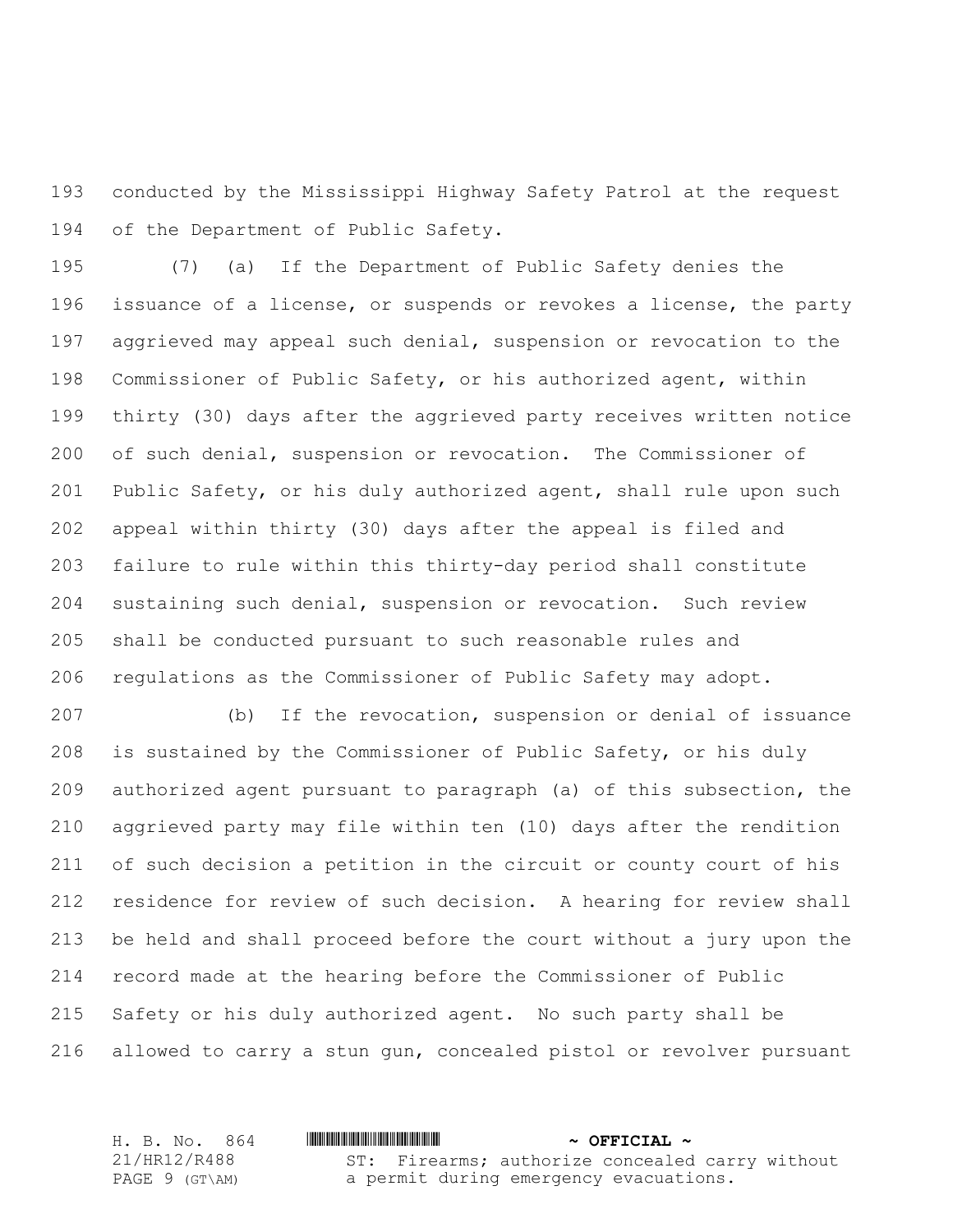conducted by the Mississippi Highway Safety Patrol at the request of the Department of Public Safety.

 (7) (a) If the Department of Public Safety denies the issuance of a license, or suspends or revokes a license, the party aggrieved may appeal such denial, suspension or revocation to the Commissioner of Public Safety, or his authorized agent, within thirty (30) days after the aggrieved party receives written notice of such denial, suspension or revocation. The Commissioner of Public Safety, or his duly authorized agent, shall rule upon such appeal within thirty (30) days after the appeal is filed and failure to rule within this thirty-day period shall constitute sustaining such denial, suspension or revocation. Such review shall be conducted pursuant to such reasonable rules and regulations as the Commissioner of Public Safety may adopt.

 (b) If the revocation, suspension or denial of issuance is sustained by the Commissioner of Public Safety, or his duly authorized agent pursuant to paragraph (a) of this subsection, the aggrieved party may file within ten (10) days after the rendition of such decision a petition in the circuit or county court of his residence for review of such decision. A hearing for review shall be held and shall proceed before the court without a jury upon the record made at the hearing before the Commissioner of Public Safety or his duly authorized agent. No such party shall be allowed to carry a stun gun, concealed pistol or revolver pursuant

H. B. No. 864 \*HR12/R488\* **~ OFFICIAL ~** 21/HR12/R488 PAGE 9 (GT\AM) ST: Firearms; authorize concealed carry without a permit during emergency evacuations.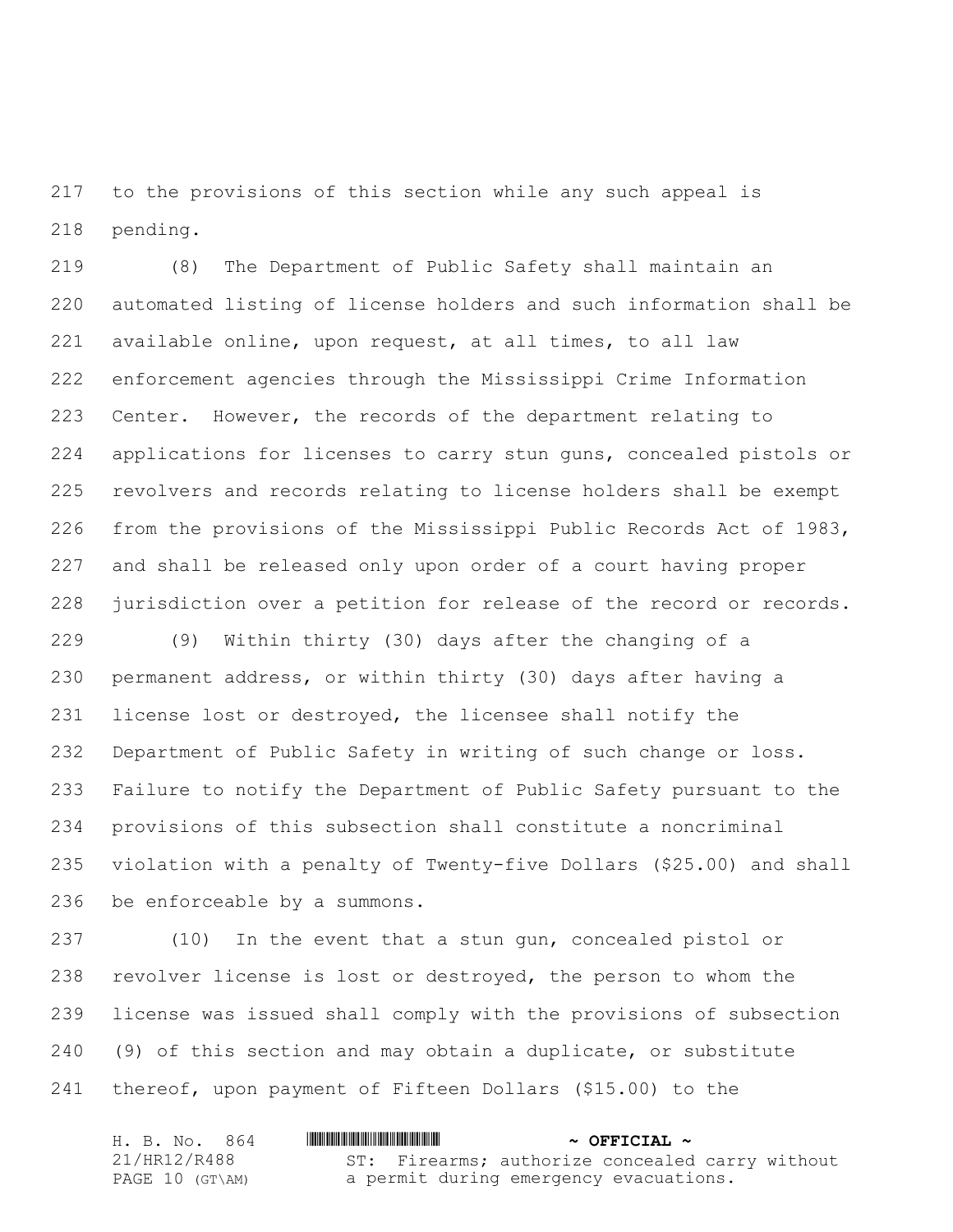to the provisions of this section while any such appeal is pending.

 (8) The Department of Public Safety shall maintain an automated listing of license holders and such information shall be available online, upon request, at all times, to all law enforcement agencies through the Mississippi Crime Information Center. However, the records of the department relating to applications for licenses to carry stun guns, concealed pistols or revolvers and records relating to license holders shall be exempt from the provisions of the Mississippi Public Records Act of 1983, and shall be released only upon order of a court having proper jurisdiction over a petition for release of the record or records.

 (9) Within thirty (30) days after the changing of a permanent address, or within thirty (30) days after having a license lost or destroyed, the licensee shall notify the Department of Public Safety in writing of such change or loss. Failure to notify the Department of Public Safety pursuant to the provisions of this subsection shall constitute a noncriminal violation with a penalty of Twenty-five Dollars (\$25.00) and shall be enforceable by a summons.

 (10) In the event that a stun gun, concealed pistol or revolver license is lost or destroyed, the person to whom the license was issued shall comply with the provisions of subsection (9) of this section and may obtain a duplicate, or substitute thereof, upon payment of Fifteen Dollars (\$15.00) to the

| H. B. No. 864      | $\sim$ OFFICIAL $\sim$                          |
|--------------------|-------------------------------------------------|
| 21/HR12/R488       | ST: Firearms; authorize concealed carry without |
| PAGE 10 $(GT\A M)$ | a permit during emergency evacuations.          |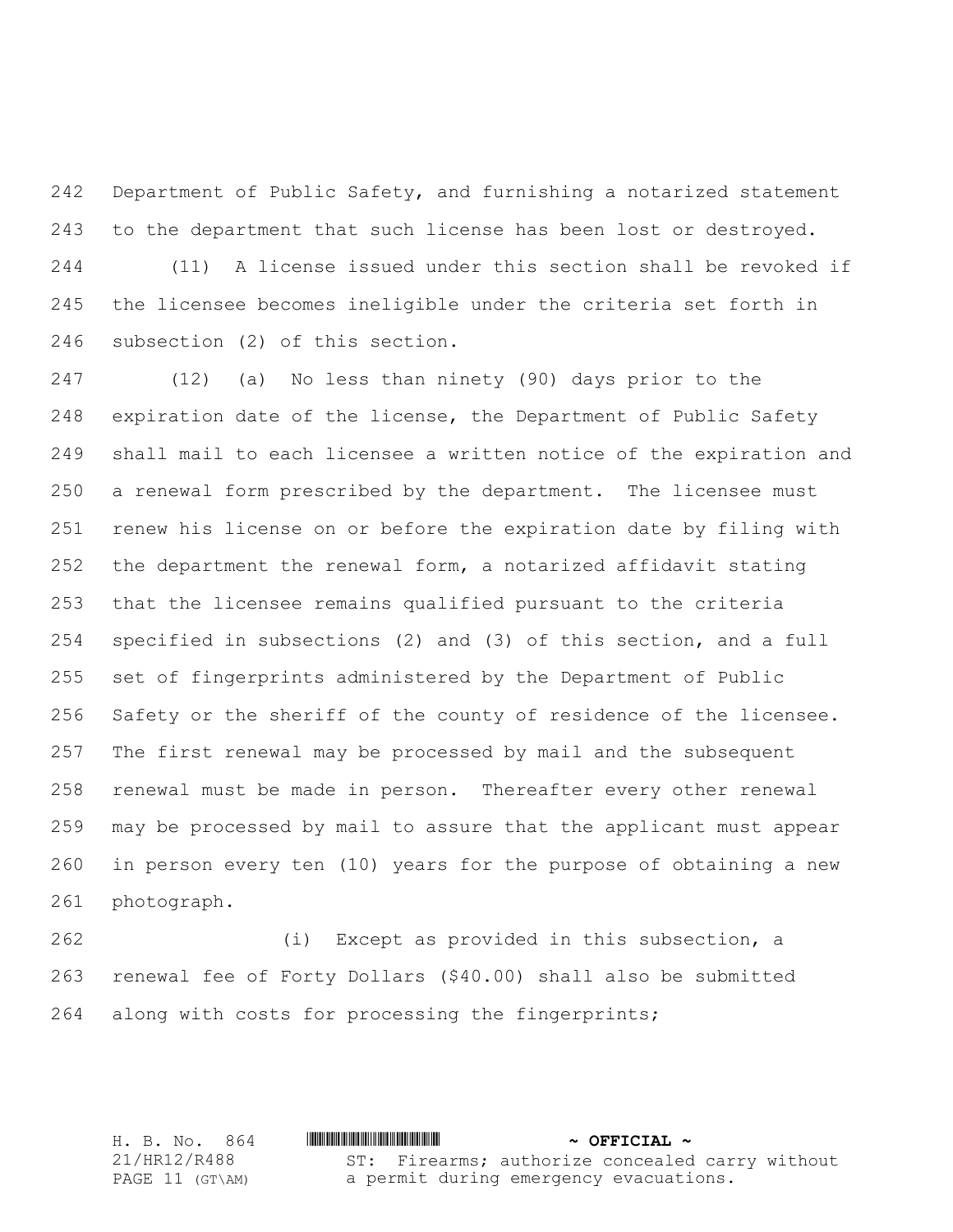Department of Public Safety, and furnishing a notarized statement to the department that such license has been lost or destroyed.

 (11) A license issued under this section shall be revoked if the licensee becomes ineligible under the criteria set forth in subsection (2) of this section.

 (12) (a) No less than ninety (90) days prior to the expiration date of the license, the Department of Public Safety shall mail to each licensee a written notice of the expiration and a renewal form prescribed by the department. The licensee must renew his license on or before the expiration date by filing with the department the renewal form, a notarized affidavit stating that the licensee remains qualified pursuant to the criteria specified in subsections (2) and (3) of this section, and a full set of fingerprints administered by the Department of Public Safety or the sheriff of the county of residence of the licensee. The first renewal may be processed by mail and the subsequent renewal must be made in person. Thereafter every other renewal may be processed by mail to assure that the applicant must appear in person every ten (10) years for the purpose of obtaining a new photograph.

 (i) Except as provided in this subsection, a renewal fee of Forty Dollars (\$40.00) shall also be submitted along with costs for processing the fingerprints;

H. B. No. 864 \*HR12/R488\* **~ OFFICIAL ~** 21/HR12/R488 PAGE 11 (GT\AM) ST: Firearms; authorize concealed carry without a permit during emergency evacuations.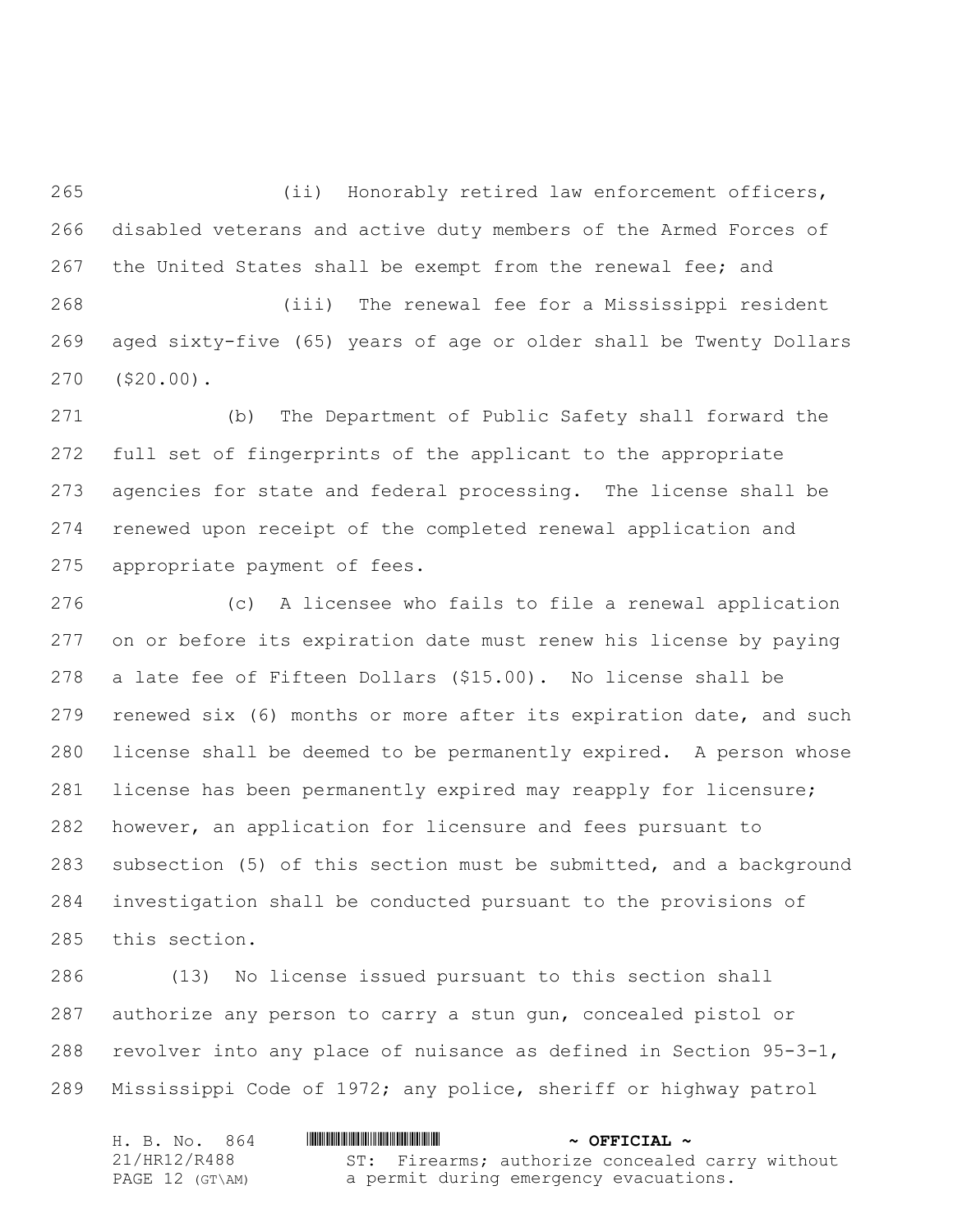(ii) Honorably retired law enforcement officers, disabled veterans and active duty members of the Armed Forces of the United States shall be exempt from the renewal fee; and

 (iii) The renewal fee for a Mississippi resident aged sixty-five (65) years of age or older shall be Twenty Dollars (\$20.00).

 (b) The Department of Public Safety shall forward the full set of fingerprints of the applicant to the appropriate agencies for state and federal processing. The license shall be renewed upon receipt of the completed renewal application and appropriate payment of fees.

 (c) A licensee who fails to file a renewal application on or before its expiration date must renew his license by paying a late fee of Fifteen Dollars (\$15.00). No license shall be renewed six (6) months or more after its expiration date, and such license shall be deemed to be permanently expired. A person whose license has been permanently expired may reapply for licensure; however, an application for licensure and fees pursuant to subsection (5) of this section must be submitted, and a background investigation shall be conducted pursuant to the provisions of this section.

 (13) No license issued pursuant to this section shall authorize any person to carry a stun gun, concealed pistol or revolver into any place of nuisance as defined in Section 95-3-1, Mississippi Code of 1972; any police, sheriff or highway patrol

| H. B. No. 864   | $\sim$ OFFICIAL $\sim$                          |
|-----------------|-------------------------------------------------|
| 21/HR12/R488    | ST: Firearms; authorize concealed carry without |
| PAGE 12 (GT\AM) | a permit during emergency evacuations.          |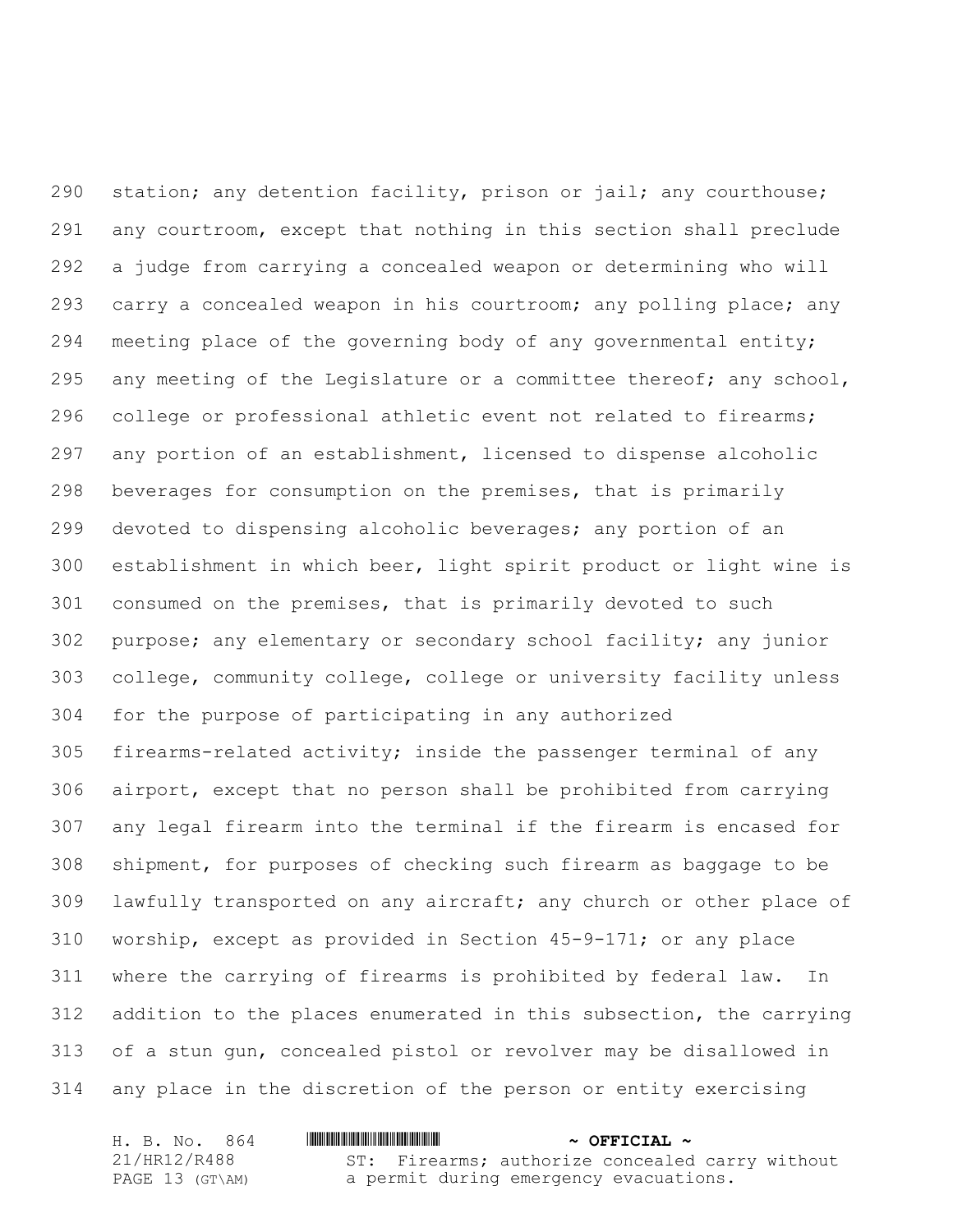290 station; any detention facility, prison or jail; any courthouse; any courtroom, except that nothing in this section shall preclude a judge from carrying a concealed weapon or determining who will carry a concealed weapon in his courtroom; any polling place; any 294 meeting place of the governing body of any governmental entity; any meeting of the Legislature or a committee thereof; any school, college or professional athletic event not related to firearms; any portion of an establishment, licensed to dispense alcoholic beverages for consumption on the premises, that is primarily devoted to dispensing alcoholic beverages; any portion of an establishment in which beer, light spirit product or light wine is consumed on the premises, that is primarily devoted to such purpose; any elementary or secondary school facility; any junior college, community college, college or university facility unless for the purpose of participating in any authorized firearms-related activity; inside the passenger terminal of any airport, except that no person shall be prohibited from carrying any legal firearm into the terminal if the firearm is encased for shipment, for purposes of checking such firearm as baggage to be lawfully transported on any aircraft; any church or other place of worship, except as provided in Section 45-9-171; or any place where the carrying of firearms is prohibited by federal law. In addition to the places enumerated in this subsection, the carrying of a stun gun, concealed pistol or revolver may be disallowed in any place in the discretion of the person or entity exercising

| H. B. No. 864   | $\sim$ OFFICIAL $\sim$                          |
|-----------------|-------------------------------------------------|
| 21/HR12/R488    | ST: Firearms; authorize concealed carry without |
| PAGE 13 (GT\AM) | a permit during emergency evacuations.          |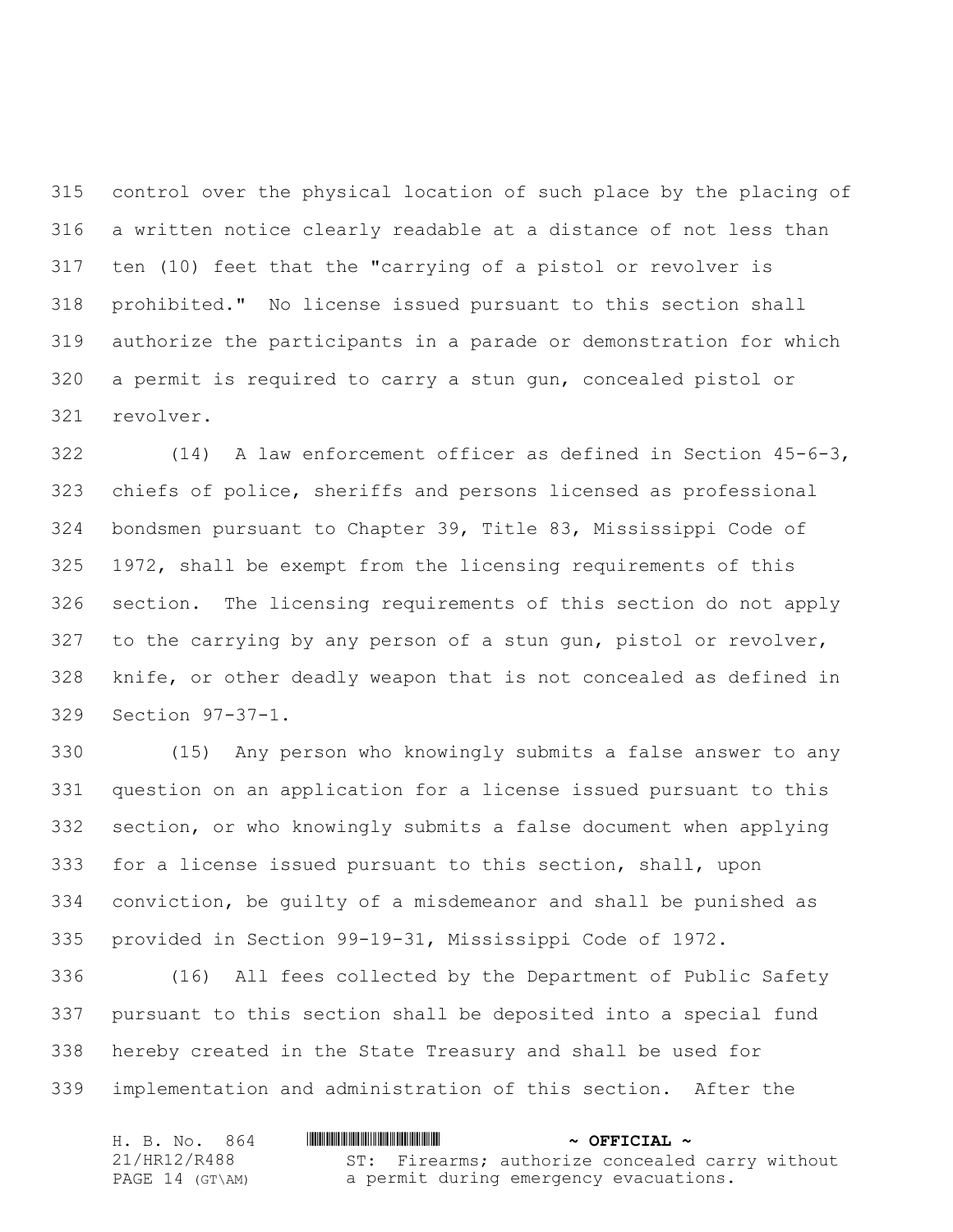control over the physical location of such place by the placing of a written notice clearly readable at a distance of not less than ten (10) feet that the "carrying of a pistol or revolver is prohibited." No license issued pursuant to this section shall authorize the participants in a parade or demonstration for which a permit is required to carry a stun gun, concealed pistol or revolver.

 (14) A law enforcement officer as defined in Section 45-6-3, chiefs of police, sheriffs and persons licensed as professional bondsmen pursuant to Chapter 39, Title 83, Mississippi Code of 1972, shall be exempt from the licensing requirements of this section. The licensing requirements of this section do not apply to the carrying by any person of a stun gun, pistol or revolver, knife, or other deadly weapon that is not concealed as defined in Section 97-37-1.

 (15) Any person who knowingly submits a false answer to any question on an application for a license issued pursuant to this section, or who knowingly submits a false document when applying for a license issued pursuant to this section, shall, upon conviction, be guilty of a misdemeanor and shall be punished as provided in Section 99-19-31, Mississippi Code of 1972.

 (16) All fees collected by the Department of Public Safety pursuant to this section shall be deposited into a special fund hereby created in the State Treasury and shall be used for implementation and administration of this section. After the

| H. B. No. 864   | $\sim$ OFFICIAL $\sim$                          |
|-----------------|-------------------------------------------------|
| 21/HR12/R488    | ST: Firearms; authorize concealed carry without |
| PAGE 14 (GT\AM) | a permit during emergency evacuations.          |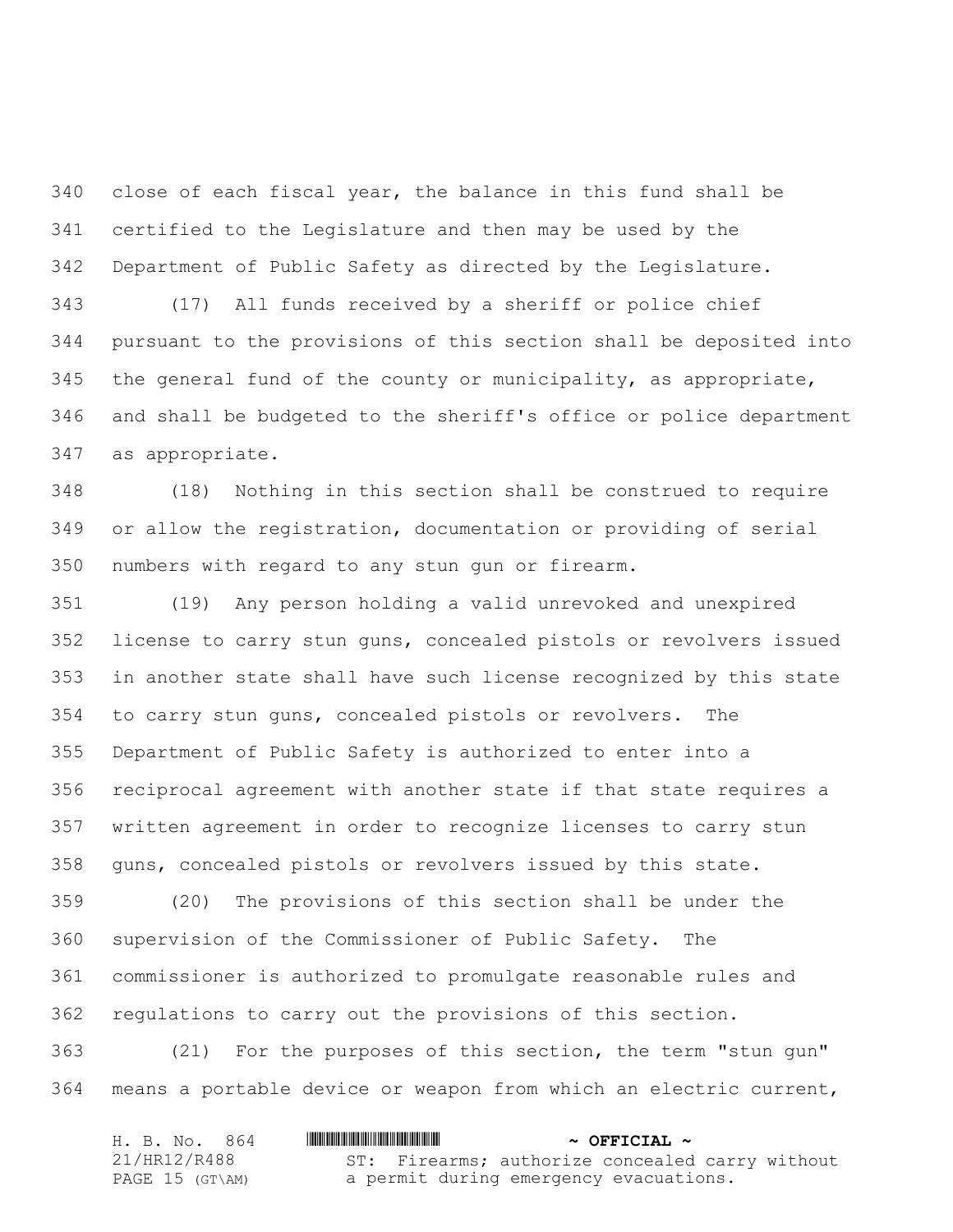close of each fiscal year, the balance in this fund shall be certified to the Legislature and then may be used by the Department of Public Safety as directed by the Legislature.

 (17) All funds received by a sheriff or police chief pursuant to the provisions of this section shall be deposited into the general fund of the county or municipality, as appropriate, and shall be budgeted to the sheriff's office or police department as appropriate.

 (18) Nothing in this section shall be construed to require or allow the registration, documentation or providing of serial numbers with regard to any stun gun or firearm.

 (19) Any person holding a valid unrevoked and unexpired license to carry stun guns, concealed pistols or revolvers issued in another state shall have such license recognized by this state to carry stun guns, concealed pistols or revolvers. The Department of Public Safety is authorized to enter into a reciprocal agreement with another state if that state requires a written agreement in order to recognize licenses to carry stun guns, concealed pistols or revolvers issued by this state.

 (20) The provisions of this section shall be under the supervision of the Commissioner of Public Safety. The commissioner is authorized to promulgate reasonable rules and regulations to carry out the provisions of this section.

 (21) For the purposes of this section, the term "stun gun" means a portable device or weapon from which an electric current,

| H. B. No. 864   | <u> I III III III III III III III II III II III II III II III II III III III III III III III III III III III III</u> | $\sim$ OFFICIAL $\sim$                          |
|-----------------|----------------------------------------------------------------------------------------------------------------------|-------------------------------------------------|
| 21/HR12/R488    |                                                                                                                      | ST: Firearms; authorize concealed carry without |
| PAGE 15 (GT\AM) |                                                                                                                      | a permit during emergency evacuations.          |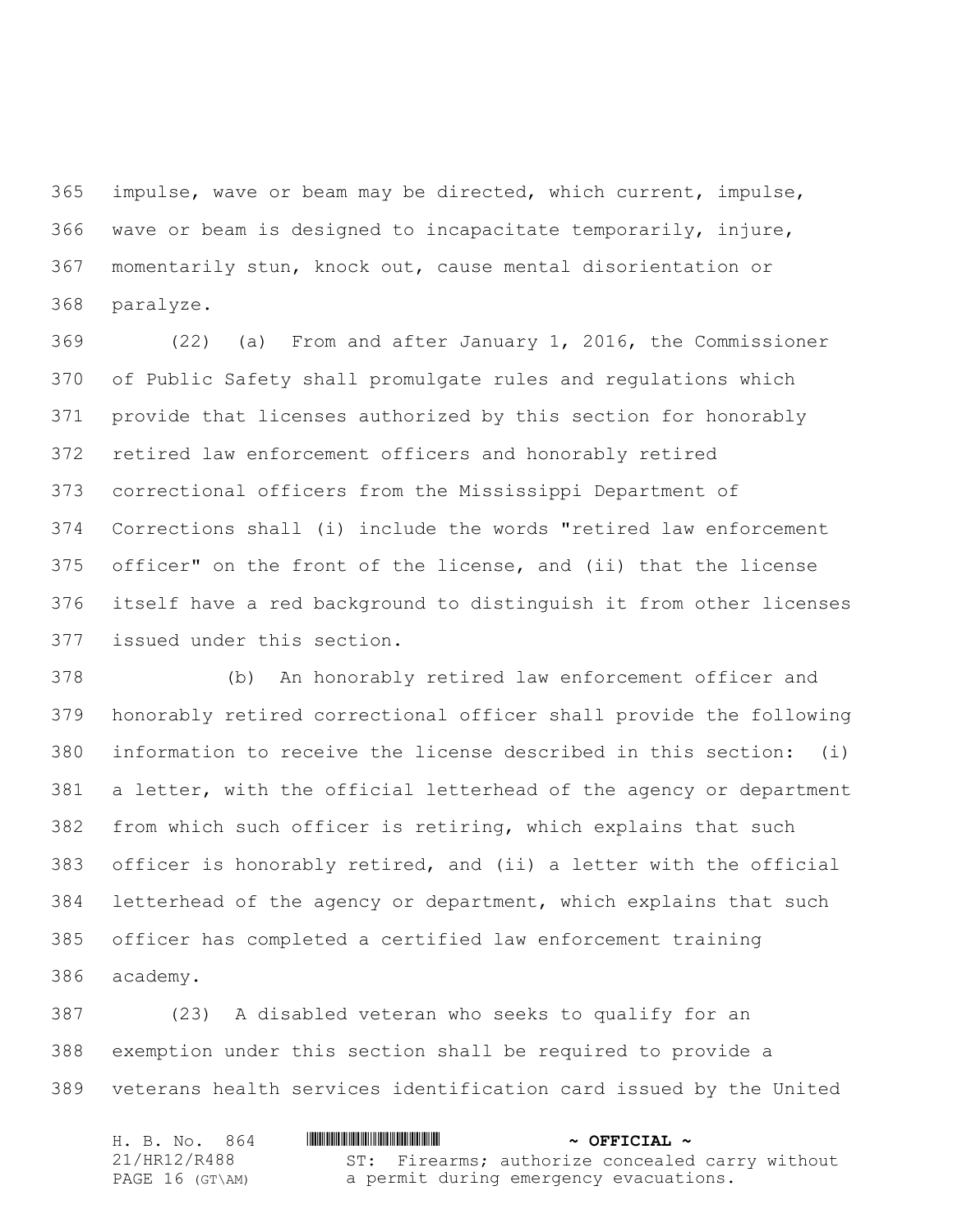impulse, wave or beam may be directed, which current, impulse, wave or beam is designed to incapacitate temporarily, injure, momentarily stun, knock out, cause mental disorientation or paralyze.

 (22) (a) From and after January 1, 2016, the Commissioner of Public Safety shall promulgate rules and regulations which provide that licenses authorized by this section for honorably retired law enforcement officers and honorably retired correctional officers from the Mississippi Department of Corrections shall (i) include the words "retired law enforcement officer" on the front of the license, and (ii) that the license itself have a red background to distinguish it from other licenses issued under this section.

 (b) An honorably retired law enforcement officer and honorably retired correctional officer shall provide the following information to receive the license described in this section: (i) a letter, with the official letterhead of the agency or department from which such officer is retiring, which explains that such officer is honorably retired, and (ii) a letter with the official letterhead of the agency or department, which explains that such officer has completed a certified law enforcement training academy.

 (23) A disabled veteran who seeks to qualify for an exemption under this section shall be required to provide a veterans health services identification card issued by the United

| H. B. No. 864   | $\sim$ OFFICIAL $\sim$                          |
|-----------------|-------------------------------------------------|
| 21/HR12/R488    | ST: Firearms; authorize concealed carry without |
| PAGE 16 (GT\AM) | a permit during emergency evacuations.          |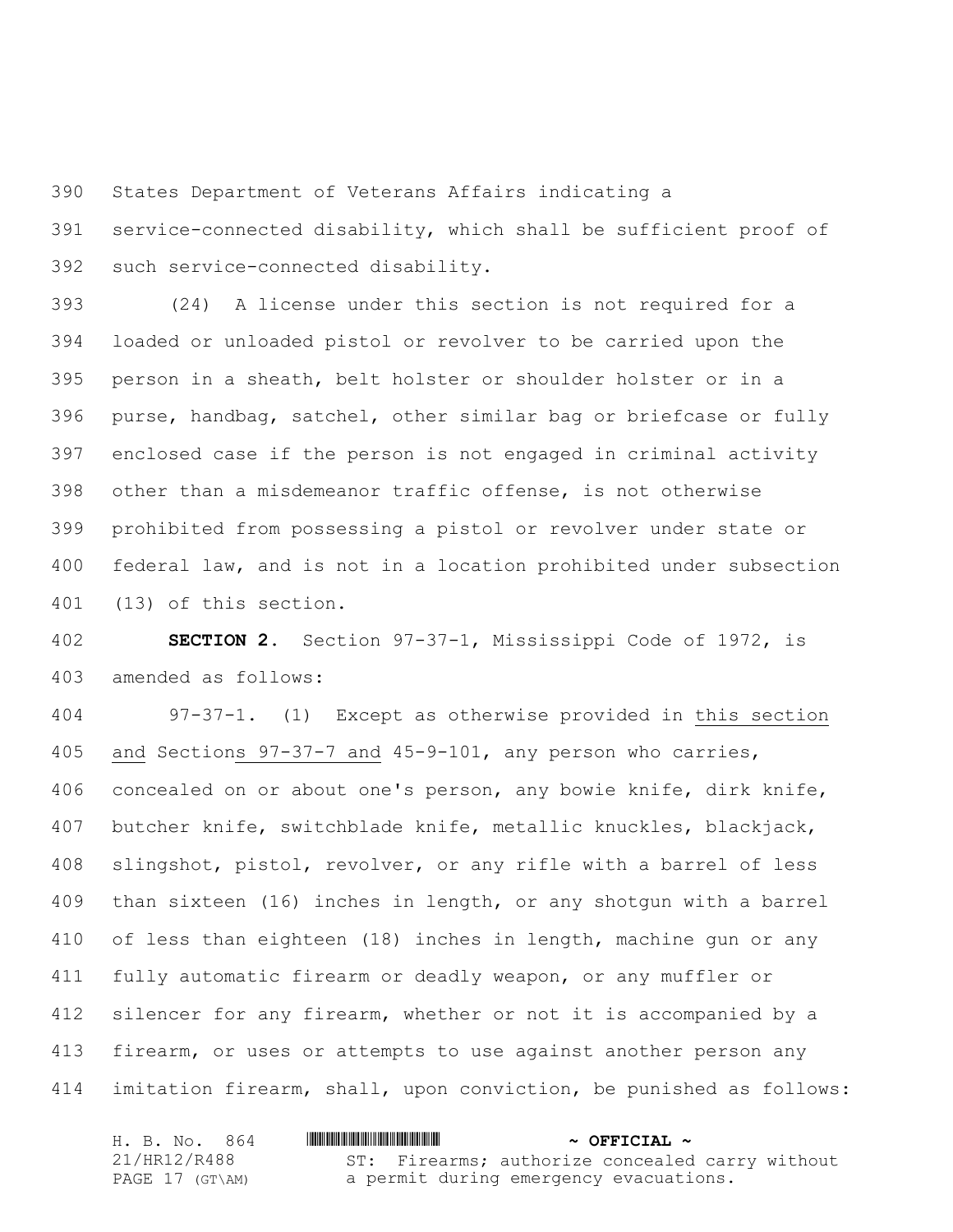States Department of Veterans Affairs indicating a

 service-connected disability, which shall be sufficient proof of such service-connected disability.

 (24) A license under this section is not required for a loaded or unloaded pistol or revolver to be carried upon the person in a sheath, belt holster or shoulder holster or in a purse, handbag, satchel, other similar bag or briefcase or fully enclosed case if the person is not engaged in criminal activity other than a misdemeanor traffic offense, is not otherwise prohibited from possessing a pistol or revolver under state or federal law, and is not in a location prohibited under subsection (13) of this section.

 **SECTION 2.** Section 97-37-1, Mississippi Code of 1972, is amended as follows:

 97-37-1. (1) Except as otherwise provided in this section and Sections 97-37-7 and 45-9-101, any person who carries, concealed on or about one's person, any bowie knife, dirk knife, butcher knife, switchblade knife, metallic knuckles, blackjack, slingshot, pistol, revolver, or any rifle with a barrel of less than sixteen (16) inches in length, or any shotgun with a barrel of less than eighteen (18) inches in length, machine gun or any fully automatic firearm or deadly weapon, or any muffler or silencer for any firearm, whether or not it is accompanied by a 413 firearm, or uses or attempts to use against another person any imitation firearm, shall, upon conviction, be punished as follows:

| H. B. No. 864   | $\sim$ OFFICIAL $\sim$                          |
|-----------------|-------------------------------------------------|
| 21/HR12/R488    | ST: Firearms; authorize concealed carry without |
| PAGE 17 (GT\AM) | a permit during emergency evacuations.          |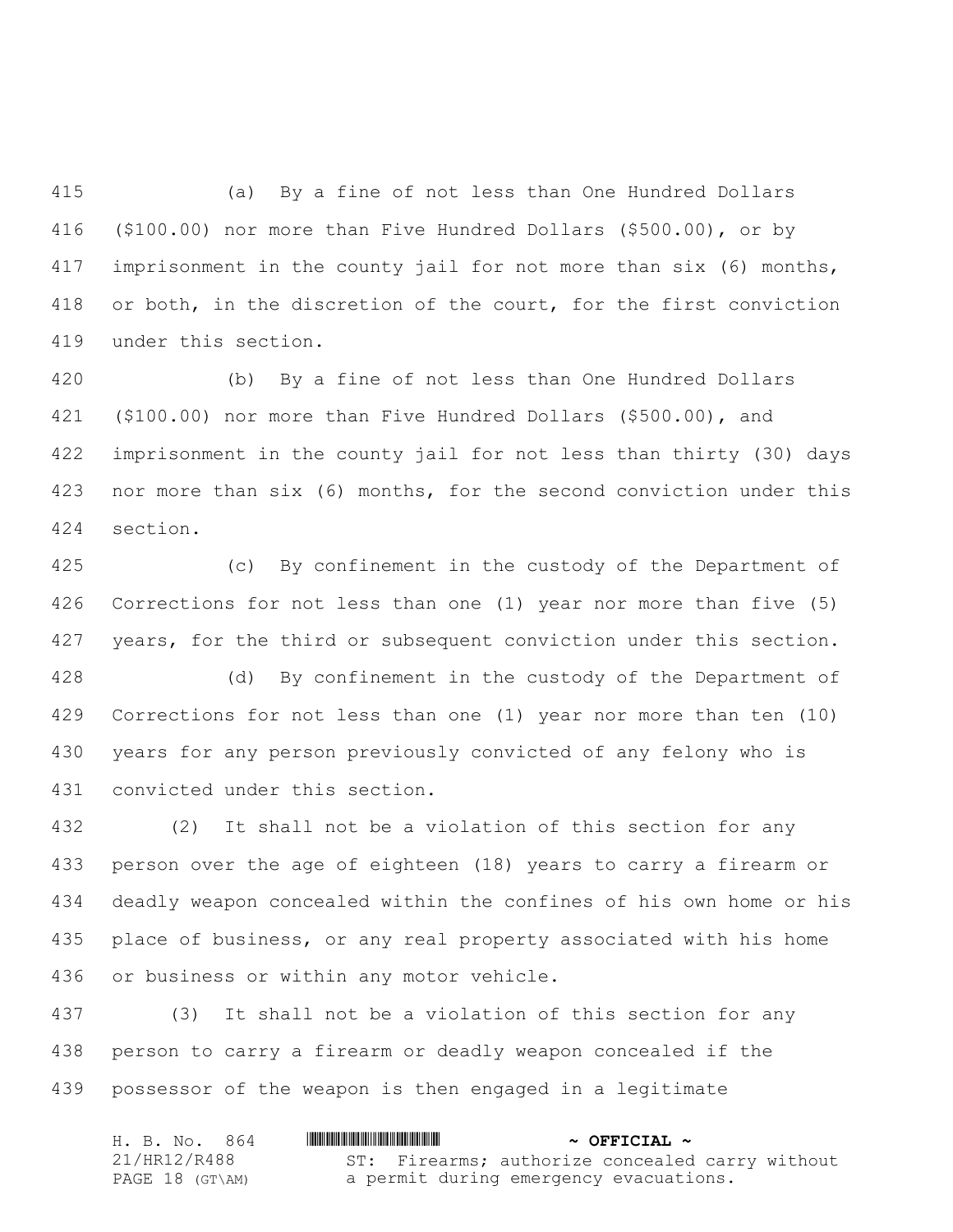(a) By a fine of not less than One Hundred Dollars (\$100.00) nor more than Five Hundred Dollars (\$500.00), or by imprisonment in the county jail for not more than six (6) months, or both, in the discretion of the court, for the first conviction under this section.

 (b) By a fine of not less than One Hundred Dollars (\$100.00) nor more than Five Hundred Dollars (\$500.00), and imprisonment in the county jail for not less than thirty (30) days nor more than six (6) months, for the second conviction under this section.

 (c) By confinement in the custody of the Department of Corrections for not less than one (1) year nor more than five (5) 427 years, for the third or subsequent conviction under this section.

 (d) By confinement in the custody of the Department of Corrections for not less than one (1) year nor more than ten (10) years for any person previously convicted of any felony who is convicted under this section.

 (2) It shall not be a violation of this section for any person over the age of eighteen (18) years to carry a firearm or deadly weapon concealed within the confines of his own home or his place of business, or any real property associated with his home or business or within any motor vehicle.

 (3) It shall not be a violation of this section for any person to carry a firearm or deadly weapon concealed if the possessor of the weapon is then engaged in a legitimate

| H. B. No. 864   | $\sim$ OFFICIAL $\sim$                          |
|-----------------|-------------------------------------------------|
| 21/HR12/R488    | ST: Firearms; authorize concealed carry without |
| PAGE 18 (GT\AM) | a permit during emergency evacuations.          |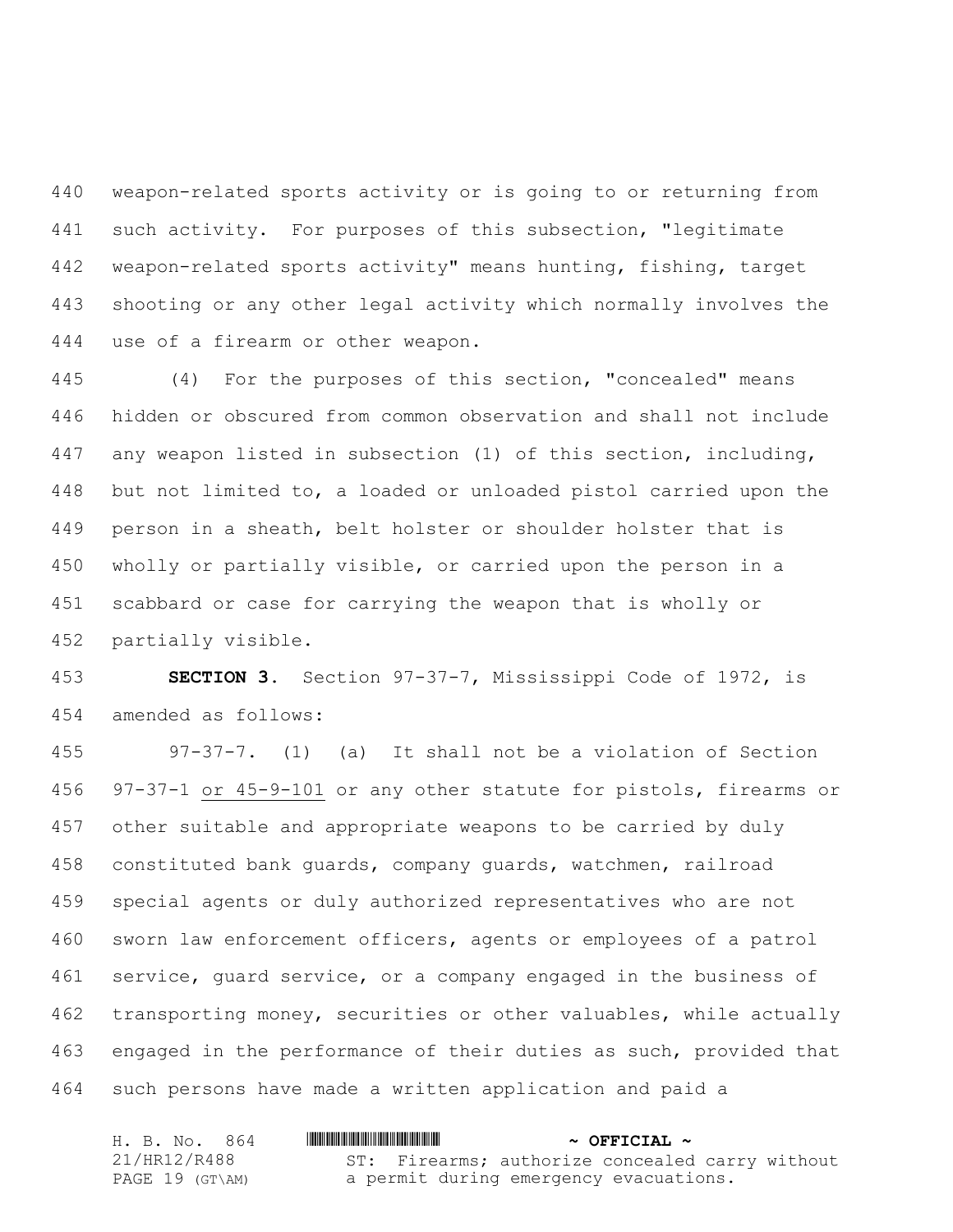weapon-related sports activity or is going to or returning from such activity. For purposes of this subsection, "legitimate weapon-related sports activity" means hunting, fishing, target shooting or any other legal activity which normally involves the use of a firearm or other weapon.

 (4) For the purposes of this section, "concealed" means hidden or obscured from common observation and shall not include any weapon listed in subsection (1) of this section, including, but not limited to, a loaded or unloaded pistol carried upon the person in a sheath, belt holster or shoulder holster that is wholly or partially visible, or carried upon the person in a scabbard or case for carrying the weapon that is wholly or partially visible.

 **SECTION 3.** Section 97-37-7, Mississippi Code of 1972, is amended as follows:

 97-37-7. (1) (a) It shall not be a violation of Section 97-37-1 or 45-9-101 or any other statute for pistols, firearms or other suitable and appropriate weapons to be carried by duly constituted bank guards, company guards, watchmen, railroad special agents or duly authorized representatives who are not sworn law enforcement officers, agents or employees of a patrol service, guard service, or a company engaged in the business of transporting money, securities or other valuables, while actually engaged in the performance of their duties as such, provided that such persons have made a written application and paid a

| H. B. No. 864   | $\sim$ OFFICIAL $\sim$                          |
|-----------------|-------------------------------------------------|
| 21/HR12/R488    | ST: Firearms; authorize concealed carry without |
| PAGE 19 (GT\AM) | a permit during emergency evacuations.          |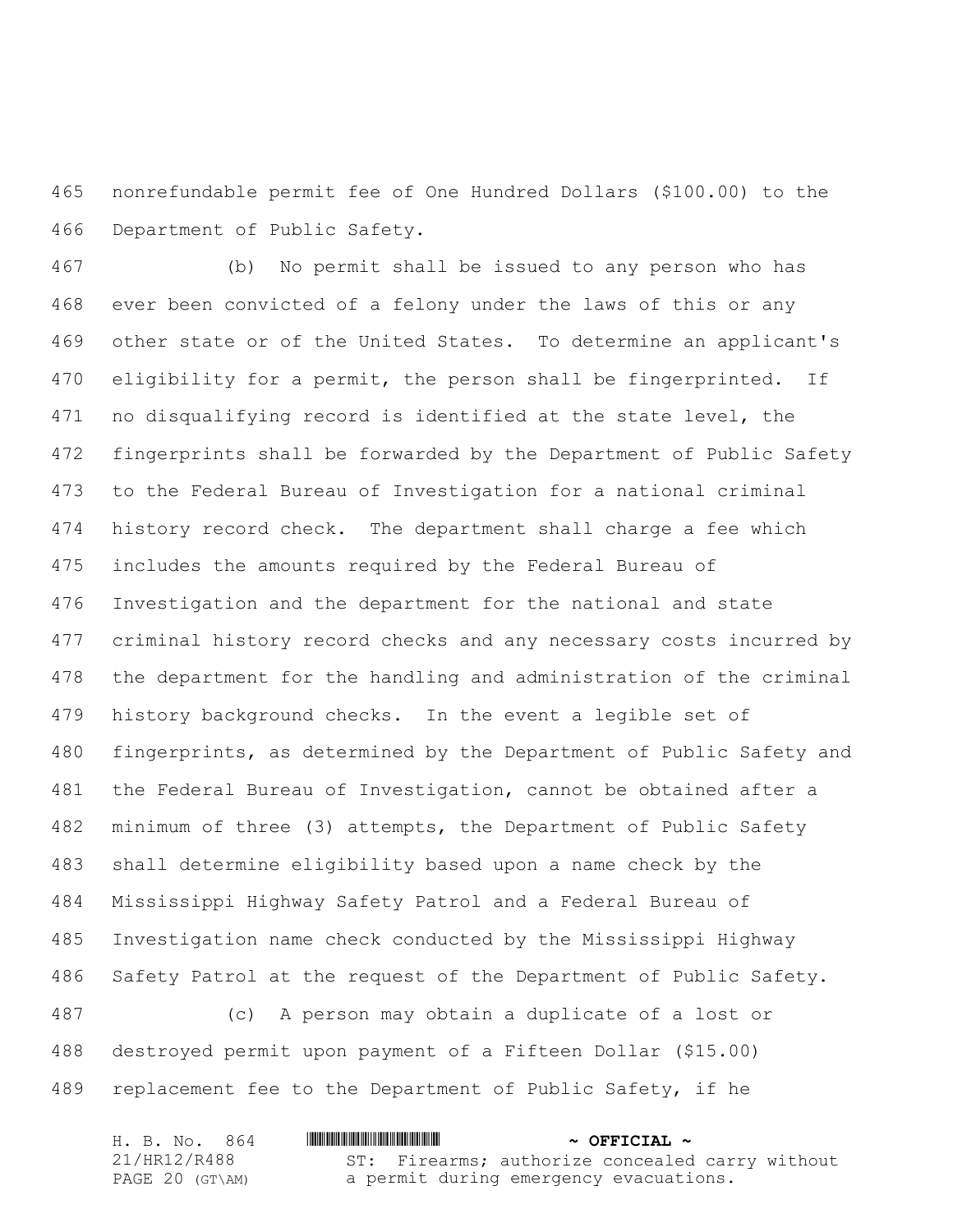nonrefundable permit fee of One Hundred Dollars (\$100.00) to the Department of Public Safety.

 (b) No permit shall be issued to any person who has ever been convicted of a felony under the laws of this or any other state or of the United States. To determine an applicant's 470 eligibility for a permit, the person shall be fingerprinted. If no disqualifying record is identified at the state level, the fingerprints shall be forwarded by the Department of Public Safety to the Federal Bureau of Investigation for a national criminal history record check. The department shall charge a fee which includes the amounts required by the Federal Bureau of Investigation and the department for the national and state criminal history record checks and any necessary costs incurred by the department for the handling and administration of the criminal history background checks. In the event a legible set of fingerprints, as determined by the Department of Public Safety and the Federal Bureau of Investigation, cannot be obtained after a minimum of three (3) attempts, the Department of Public Safety shall determine eligibility based upon a name check by the Mississippi Highway Safety Patrol and a Federal Bureau of Investigation name check conducted by the Mississippi Highway Safety Patrol at the request of the Department of Public Safety. (c) A person may obtain a duplicate of a lost or

 destroyed permit upon payment of a Fifteen Dollar (\$15.00) replacement fee to the Department of Public Safety, if he

| H. B. No. 864   | <u> I III III III III III III III II III II III II III II III II III III III III III III III III III III III III</u> | $\sim$ OFFICIAL $\sim$                          |
|-----------------|----------------------------------------------------------------------------------------------------------------------|-------------------------------------------------|
| 21/HR12/R488    |                                                                                                                      | ST: Firearms; authorize concealed carry without |
| PAGE 20 (GT\AM) |                                                                                                                      | a permit during emergency evacuations.          |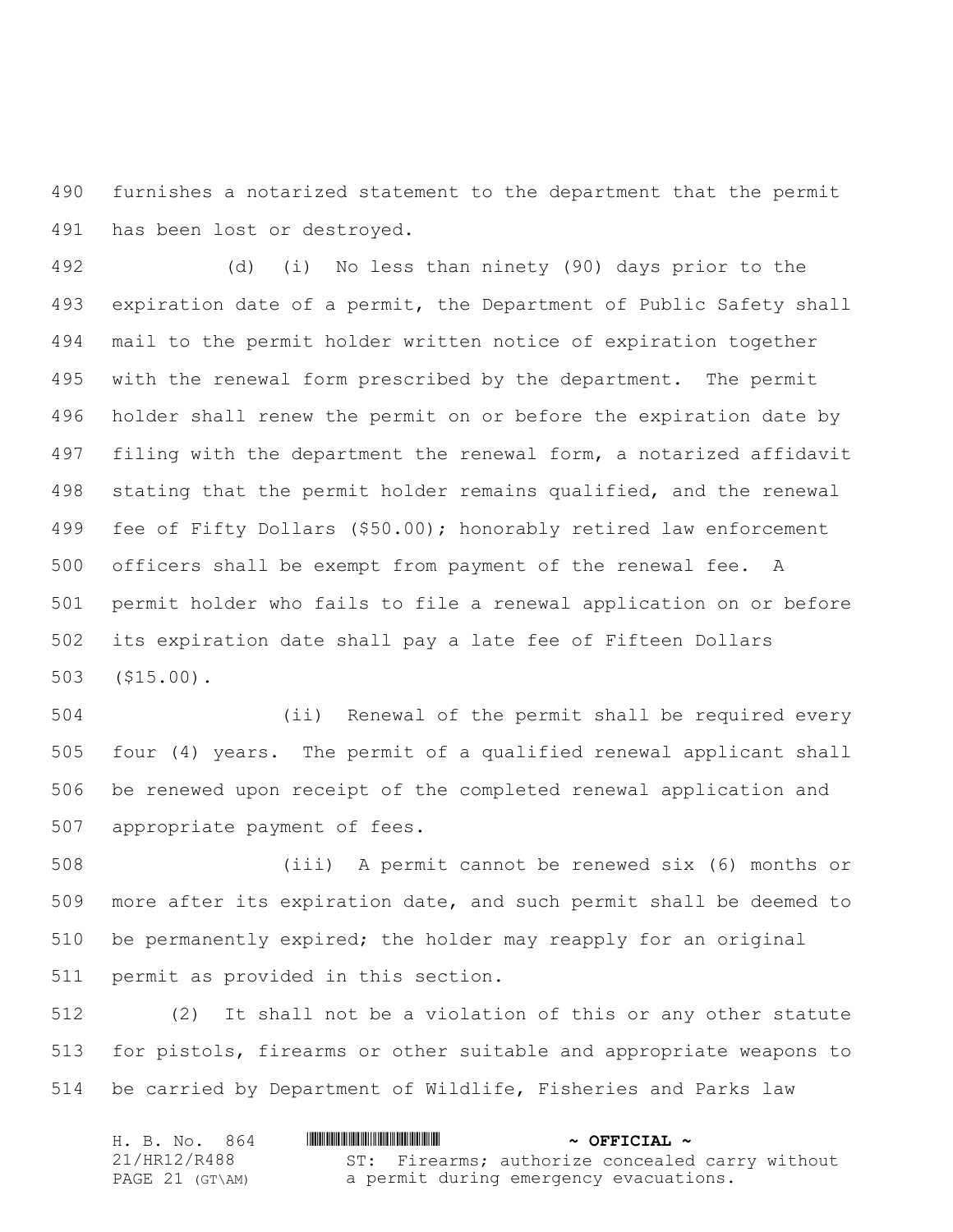furnishes a notarized statement to the department that the permit has been lost or destroyed.

 (d) (i) No less than ninety (90) days prior to the expiration date of a permit, the Department of Public Safety shall mail to the permit holder written notice of expiration together with the renewal form prescribed by the department. The permit holder shall renew the permit on or before the expiration date by filing with the department the renewal form, a notarized affidavit stating that the permit holder remains qualified, and the renewal fee of Fifty Dollars (\$50.00); honorably retired law enforcement officers shall be exempt from payment of the renewal fee. A permit holder who fails to file a renewal application on or before its expiration date shall pay a late fee of Fifteen Dollars (\$15.00).

 (ii) Renewal of the permit shall be required every four (4) years. The permit of a qualified renewal applicant shall be renewed upon receipt of the completed renewal application and appropriate payment of fees.

 (iii) A permit cannot be renewed six (6) months or more after its expiration date, and such permit shall be deemed to be permanently expired; the holder may reapply for an original permit as provided in this section.

 (2) It shall not be a violation of this or any other statute for pistols, firearms or other suitable and appropriate weapons to be carried by Department of Wildlife, Fisheries and Parks law

| H. B. No. 864   | $\sim$ OFFICIAL $\sim$                          |
|-----------------|-------------------------------------------------|
| 21/HR12/R488    | ST: Firearms; authorize concealed carry without |
| PAGE 21 (GT\AM) | a permit during emergency evacuations.          |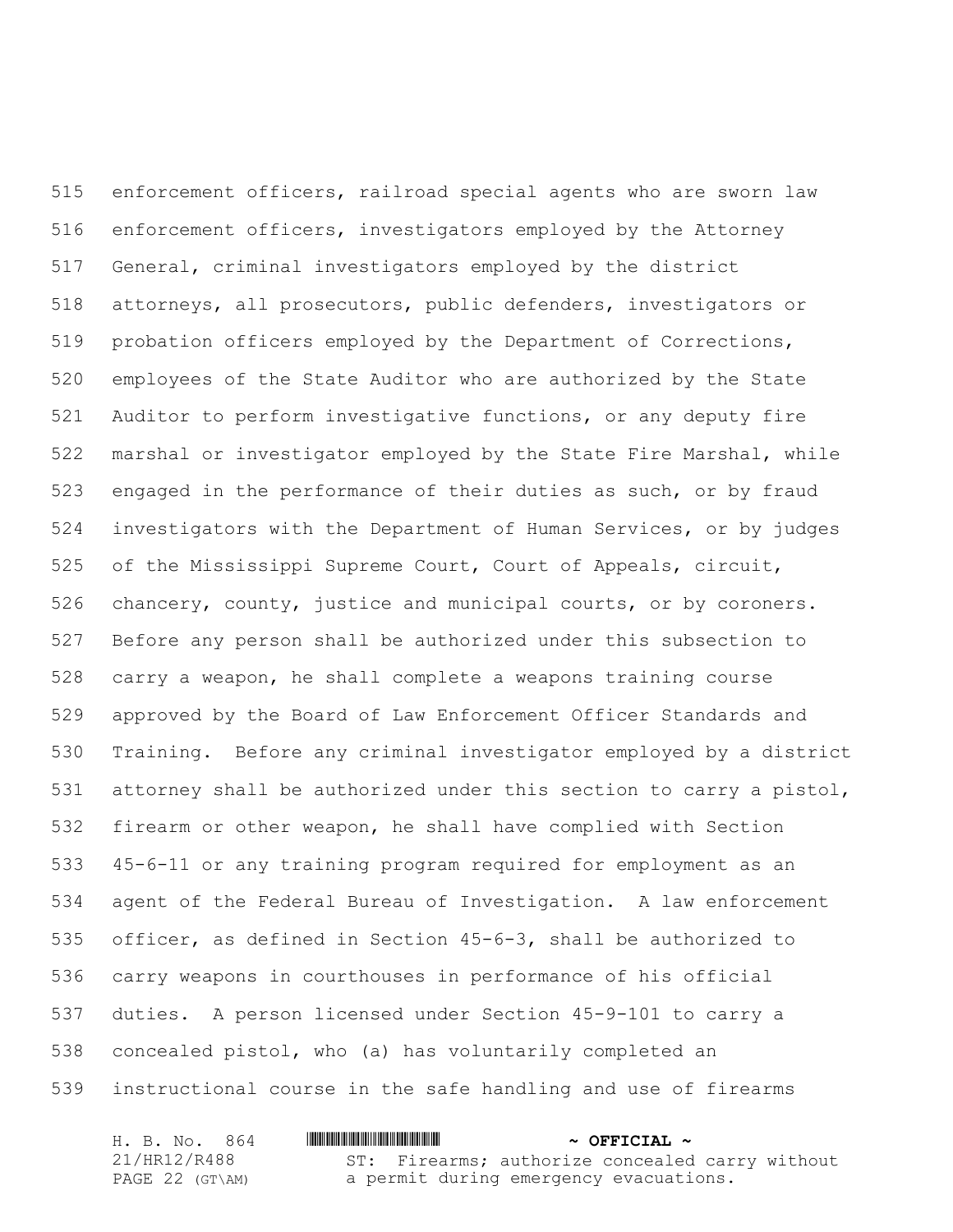enforcement officers, railroad special agents who are sworn law enforcement officers, investigators employed by the Attorney General, criminal investigators employed by the district attorneys, all prosecutors, public defenders, investigators or probation officers employed by the Department of Corrections, employees of the State Auditor who are authorized by the State Auditor to perform investigative functions, or any deputy fire marshal or investigator employed by the State Fire Marshal, while engaged in the performance of their duties as such, or by fraud investigators with the Department of Human Services, or by judges of the Mississippi Supreme Court, Court of Appeals, circuit, chancery, county, justice and municipal courts, or by coroners. Before any person shall be authorized under this subsection to carry a weapon, he shall complete a weapons training course approved by the Board of Law Enforcement Officer Standards and Training. Before any criminal investigator employed by a district attorney shall be authorized under this section to carry a pistol, firearm or other weapon, he shall have complied with Section 45-6-11 or any training program required for employment as an agent of the Federal Bureau of Investigation. A law enforcement officer, as defined in Section 45-6-3, shall be authorized to carry weapons in courthouses in performance of his official duties. A person licensed under Section 45-9-101 to carry a concealed pistol, who (a) has voluntarily completed an instructional course in the safe handling and use of firearms

| H. B. No. 864   | $\sim$ OFFICIAL $\sim$                          |
|-----------------|-------------------------------------------------|
| 21/HR12/R488    | ST: Firearms; authorize concealed carry without |
| PAGE 22 (GT\AM) | a permit during emergency evacuations.          |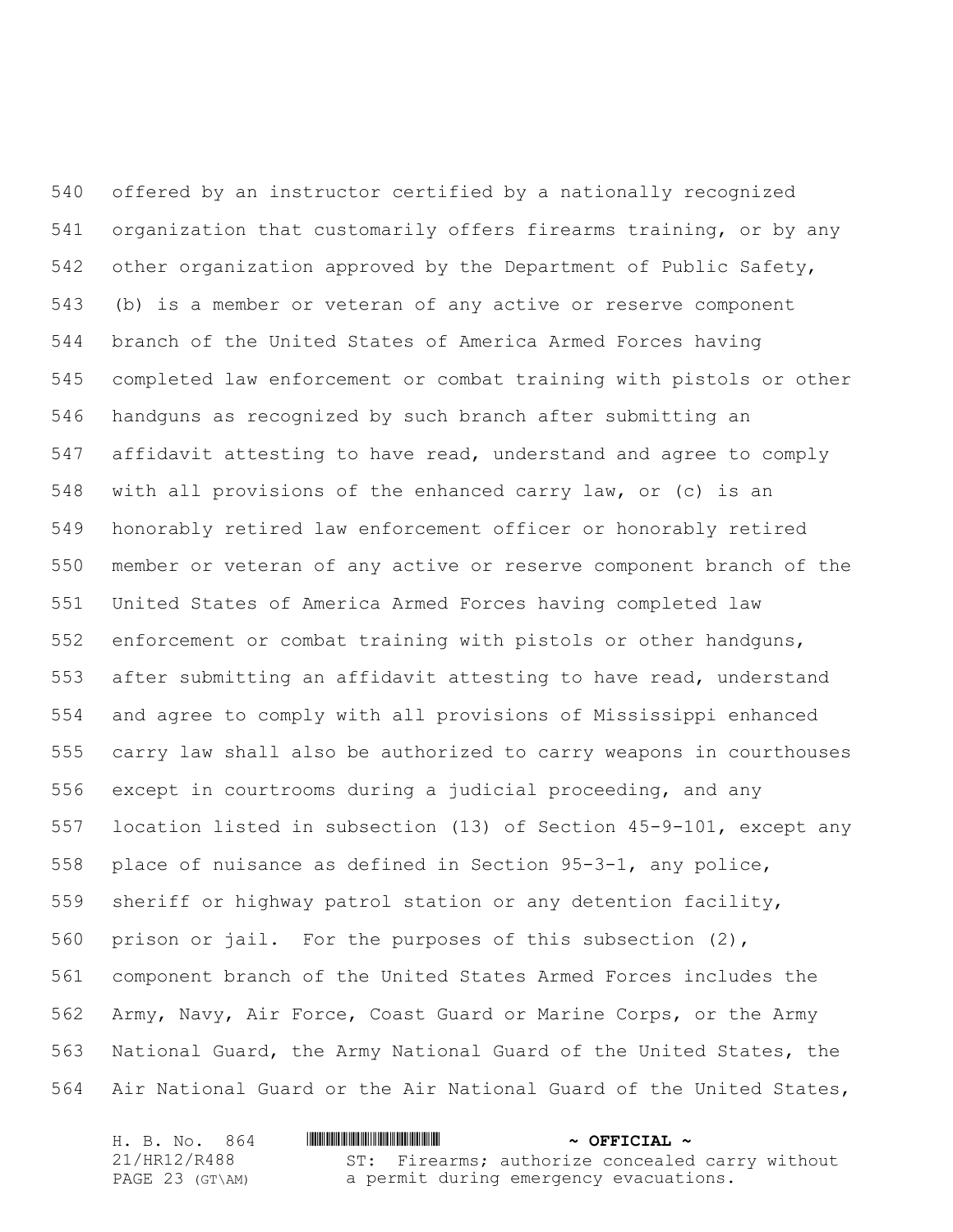offered by an instructor certified by a nationally recognized organization that customarily offers firearms training, or by any other organization approved by the Department of Public Safety, (b) is a member or veteran of any active or reserve component branch of the United States of America Armed Forces having completed law enforcement or combat training with pistols or other handguns as recognized by such branch after submitting an affidavit attesting to have read, understand and agree to comply with all provisions of the enhanced carry law, or (c) is an honorably retired law enforcement officer or honorably retired member or veteran of any active or reserve component branch of the United States of America Armed Forces having completed law enforcement or combat training with pistols or other handguns, after submitting an affidavit attesting to have read, understand and agree to comply with all provisions of Mississippi enhanced carry law shall also be authorized to carry weapons in courthouses except in courtrooms during a judicial proceeding, and any location listed in subsection (13) of Section 45-9-101, except any place of nuisance as defined in Section 95-3-1, any police, sheriff or highway patrol station or any detention facility, prison or jail. For the purposes of this subsection (2), component branch of the United States Armed Forces includes the Army, Navy, Air Force, Coast Guard or Marine Corps, or the Army National Guard, the Army National Guard of the United States, the Air National Guard or the Air National Guard of the United States,

| H. B. No. 864   | $\sim$ OFFICIAL $\sim$                          |
|-----------------|-------------------------------------------------|
| 21/HR12/R488    | ST: Firearms; authorize concealed carry without |
| PAGE 23 (GT\AM) | a permit during emergency evacuations.          |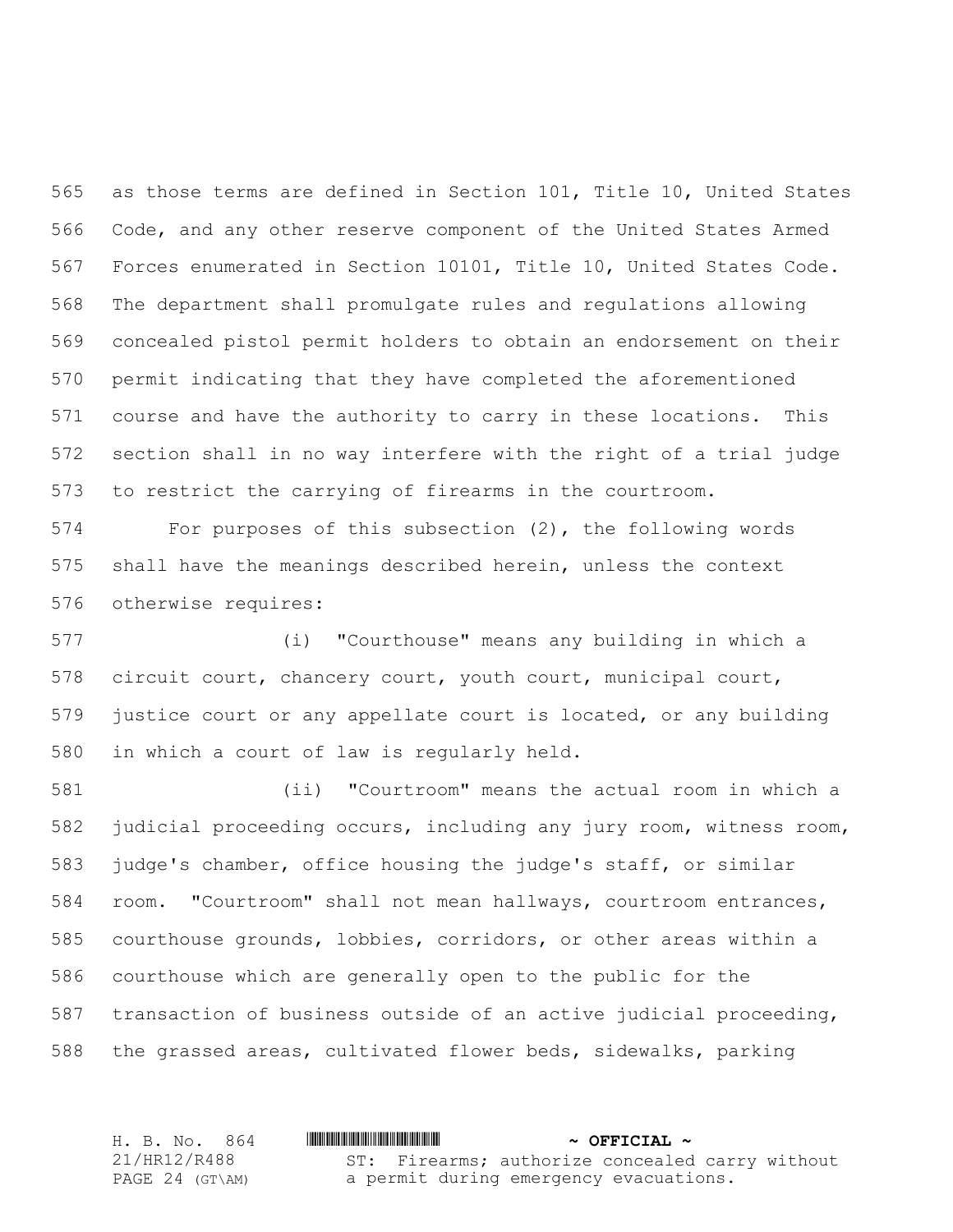as those terms are defined in Section 101, Title 10, United States Code, and any other reserve component of the United States Armed Forces enumerated in Section 10101, Title 10, United States Code. The department shall promulgate rules and regulations allowing concealed pistol permit holders to obtain an endorsement on their permit indicating that they have completed the aforementioned course and have the authority to carry in these locations. This section shall in no way interfere with the right of a trial judge to restrict the carrying of firearms in the courtroom.

 For purposes of this subsection (2), the following words shall have the meanings described herein, unless the context otherwise requires:

 (i) "Courthouse" means any building in which a circuit court, chancery court, youth court, municipal court, justice court or any appellate court is located, or any building in which a court of law is regularly held.

 (ii) "Courtroom" means the actual room in which a judicial proceeding occurs, including any jury room, witness room, judge's chamber, office housing the judge's staff, or similar room. "Courtroom" shall not mean hallways, courtroom entrances, courthouse grounds, lobbies, corridors, or other areas within a courthouse which are generally open to the public for the transaction of business outside of an active judicial proceeding, the grassed areas, cultivated flower beds, sidewalks, parking

H. B. No. 864 \*HR12/R488\* **~ OFFICIAL ~** 21/HR12/R488 PAGE 24 (GT\AM) ST: Firearms; authorize concealed carry without a permit during emergency evacuations.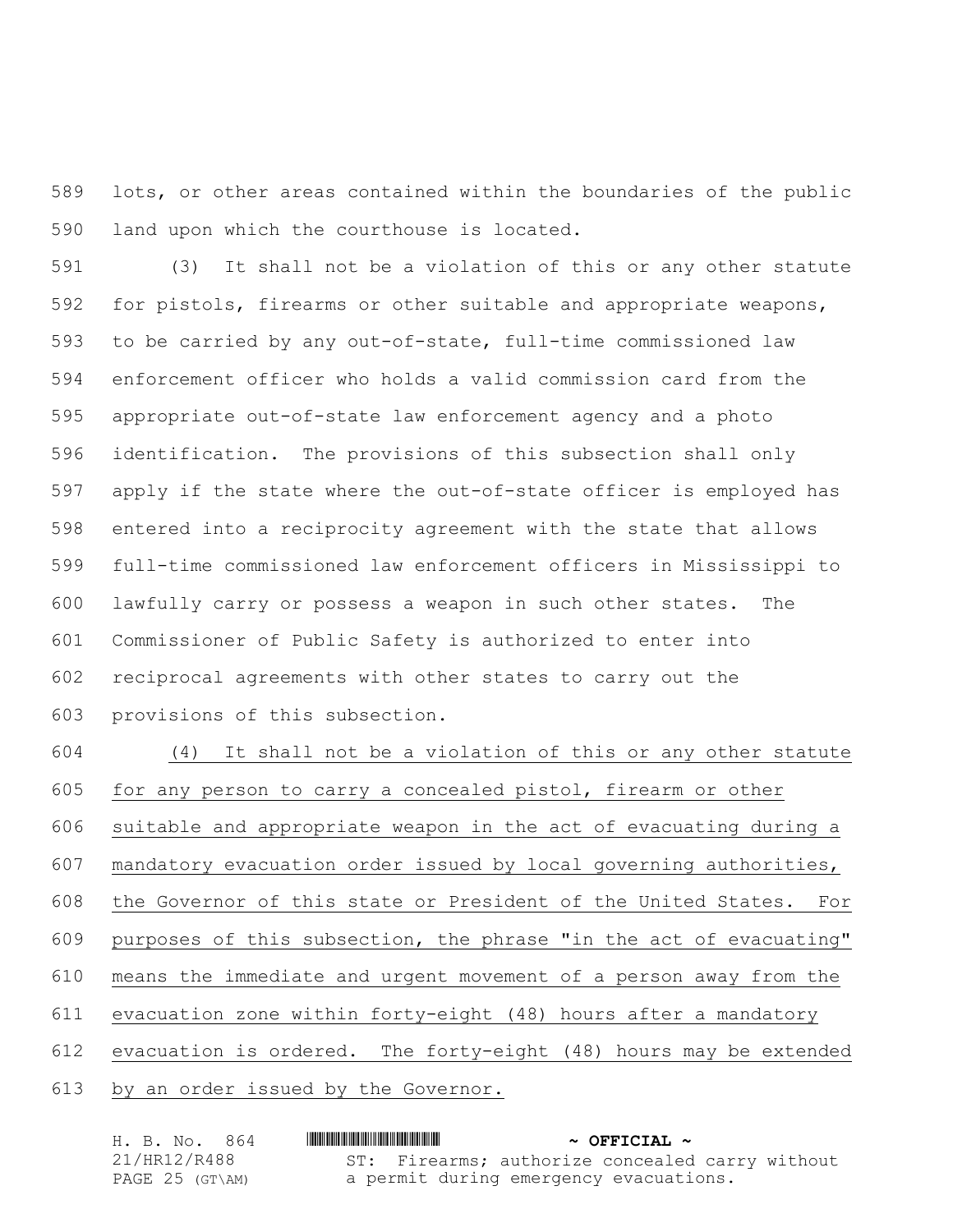lots, or other areas contained within the boundaries of the public land upon which the courthouse is located.

 (3) It shall not be a violation of this or any other statute for pistols, firearms or other suitable and appropriate weapons, to be carried by any out-of-state, full-time commissioned law enforcement officer who holds a valid commission card from the appropriate out-of-state law enforcement agency and a photo identification. The provisions of this subsection shall only apply if the state where the out-of-state officer is employed has entered into a reciprocity agreement with the state that allows full-time commissioned law enforcement officers in Mississippi to lawfully carry or possess a weapon in such other states. The Commissioner of Public Safety is authorized to enter into reciprocal agreements with other states to carry out the provisions of this subsection.

 (4) It shall not be a violation of this or any other statute for any person to carry a concealed pistol, firearm or other suitable and appropriate weapon in the act of evacuating during a mandatory evacuation order issued by local governing authorities, the Governor of this state or President of the United States. For purposes of this subsection, the phrase "in the act of evacuating" means the immediate and urgent movement of a person away from the evacuation zone within forty-eight (48) hours after a mandatory evacuation is ordered. The forty-eight (48) hours may be extended by an order issued by the Governor.

| H. B. No. 864   | $\sim$ OFFICIAL $\sim$                          |
|-----------------|-------------------------------------------------|
| 21/HR12/R488    | ST: Firearms; authorize concealed carry without |
| PAGE 25 (GT\AM) | a permit during emergency evacuations.          |